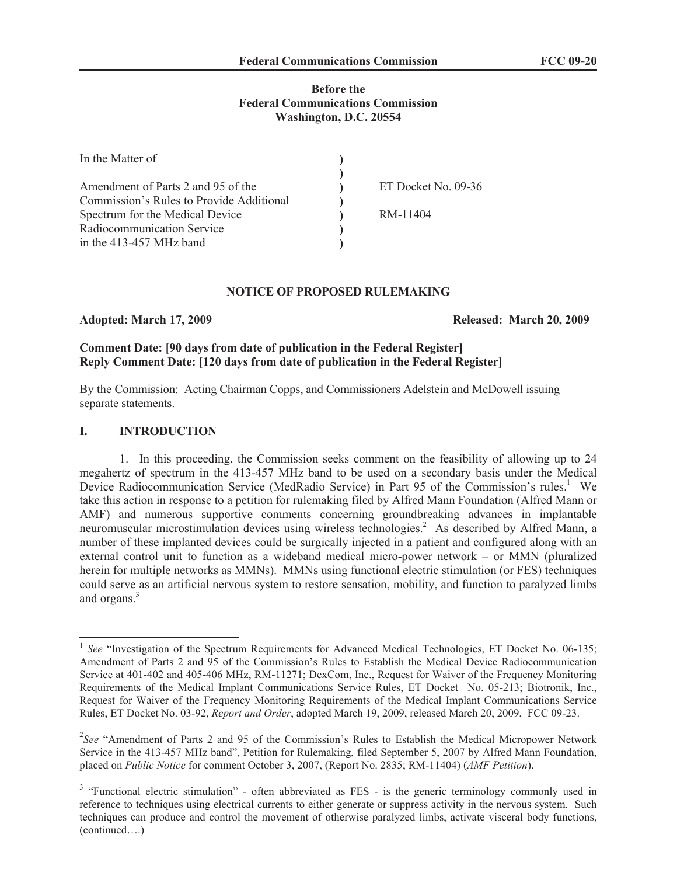## **Before the Federal Communications Commission Washington, D.C. 20554**

| In the Matter of                         |                     |
|------------------------------------------|---------------------|
| Amendment of Parts 2 and 95 of the       | ET Docket No. 09-36 |
| Commission's Rules to Provide Additional |                     |
| Spectrum for the Medical Device          | RM-11404            |
| Radiocommunication Service               |                     |
| in the 413-457 MHz band                  |                     |

## **NOTICE OF PROPOSED RULEMAKING**

**Adopted: March 17, 2009 Released: March 20, 2009**

# **Comment Date: [90 days from date of publication in the Federal Register] Reply Comment Date: [120 days from date of publication in the Federal Register]**

By the Commission: Acting Chairman Copps, and Commissioners Adelstein and McDowell issuing separate statements.

## **I. INTRODUCTION**

1. In this proceeding, the Commission seeks comment on the feasibility of allowing up to 24 megahertz of spectrum in the 413-457 MHz band to be used on a secondary basis under the Medical Device Radiocommunication Service (MedRadio Service) in Part 95 of the Commission's rules.<sup>1</sup> We take this action in response to a petition for rulemaking filed by Alfred Mann Foundation (Alfred Mann or AMF) and numerous supportive comments concerning groundbreaking advances in implantable neuromuscular microstimulation devices using wireless technologies.<sup>2</sup> As described by Alfred Mann, a number of these implanted devices could be surgically injected in a patient and configured along with an external control unit to function as a wideband medical micro-power network – or MMN (pluralized herein for multiple networks as MMNs). MMNs using functional electric stimulation (or FES) techniques could serve as an artificial nervous system to restore sensation, mobility, and function to paralyzed limbs and organs.<sup>3</sup>

<sup>&</sup>lt;sup>1</sup> See "Investigation of the Spectrum Requirements for Advanced Medical Technologies, ET Docket No. 06-135; Amendment of Parts 2 and 95 of the Commission's Rules to Establish the Medical Device Radiocommunication Service at 401-402 and 405-406 MHz, RM-11271; DexCom, Inc., Request for Waiver of the Frequency Monitoring Requirements of the Medical Implant Communications Service Rules, ET Docket No. 05-213; Biotronik, Inc., Request for Waiver of the Frequency Monitoring Requirements of the Medical Implant Communications Service Rules, ET Docket No. 03-92, *Report and Order*, adopted March 19, 2009, released March 20, 2009, FCC 09-23.

<sup>&</sup>lt;sup>2</sup>See "Amendment of Parts 2 and 95 of the Commission's Rules to Establish the Medical Micropower Network Service in the 413-457 MHz band", Petition for Rulemaking, filed September 5, 2007 by Alfred Mann Foundation, placed on *Public Notice* for comment October 3, 2007, (Report No. 2835; RM-11404) (*AMF Petition*).

<sup>&</sup>lt;sup>3</sup> "Functional electric stimulation" - often abbreviated as FES - is the generic terminology commonly used in reference to techniques using electrical currents to either generate or suppress activity in the nervous system. Such techniques can produce and control the movement of otherwise paralyzed limbs, activate visceral body functions, (continued….)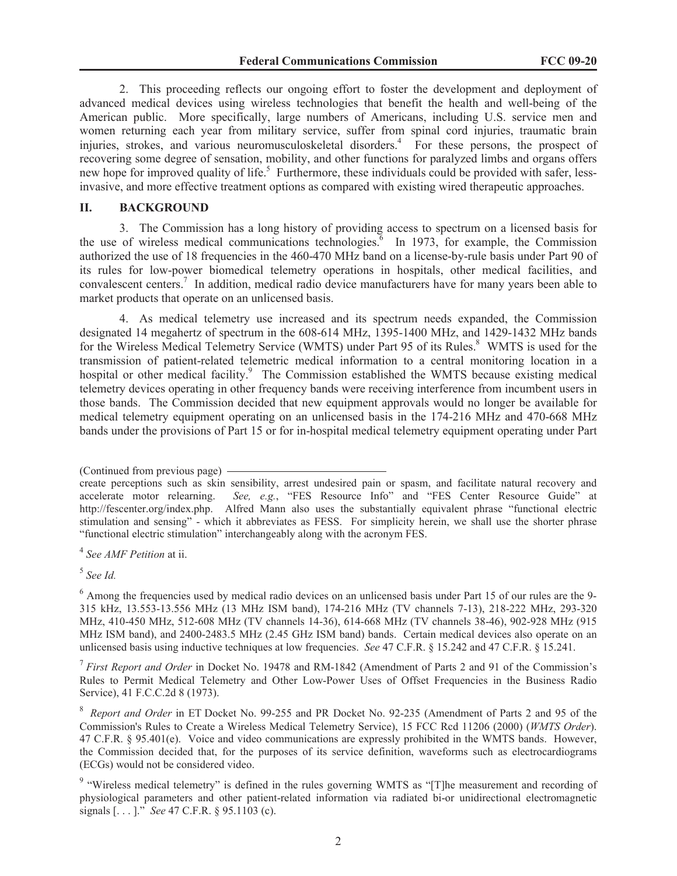2. This proceeding reflects our ongoing effort to foster the development and deployment of advanced medical devices using wireless technologies that benefit the health and well-being of the American public. More specifically, large numbers of Americans, including U.S. service men and women returning each year from military service, suffer from spinal cord injuries, traumatic brain injuries, strokes, and various neuromusculoskeletal disorders.<sup>4</sup> For these persons, the prospect of recovering some degree of sensation, mobility, and other functions for paralyzed limbs and organs offers new hope for improved quality of life.<sup>5</sup> Furthermore, these individuals could be provided with safer, lessinvasive, and more effective treatment options as compared with existing wired therapeutic approaches.

## **II. BACKGROUND**

3. The Commission has a long history of providing access to spectrum on a licensed basis for the use of wireless medical communications technologies.<sup> $6$ </sup> In 1973, for example, the Commission authorized the use of 18 frequencies in the 460-470 MHz band on a license-by-rule basis under Part 90 of its rules for low-power biomedical telemetry operations in hospitals, other medical facilities, and convalescent centers.<sup>7</sup> In addition, medical radio device manufacturers have for many years been able to market products that operate on an unlicensed basis.

4. As medical telemetry use increased and its spectrum needs expanded, the Commission designated 14 megahertz of spectrum in the 608-614 MHz, 1395-1400 MHz, and 1429-1432 MHz bands for the Wireless Medical Telemetry Service (WMTS) under Part 95 of its Rules.<sup>8</sup> WMTS is used for the transmission of patient-related telemetric medical information to a central monitoring location in a hospital or other medical facility.<sup>9</sup> The Commission established the WMTS because existing medical telemetry devices operating in other frequency bands were receiving interference from incumbent users in those bands. The Commission decided that new equipment approvals would no longer be available for medical telemetry equipment operating on an unlicensed basis in the 174-216 MHz and 470-668 MHz bands under the provisions of Part 15 or for in-hospital medical telemetry equipment operating under Part

5 *See Id.*

7 *First Report and Order* in Docket No. 19478 and RM-1842 (Amendment of Parts 2 and 91 of the Commission's Rules to Permit Medical Telemetry and Other Low-Power Uses of Offset Frequencies in the Business Radio Service), 41 F.C.C.2d 8 (1973).

<sup>(</sup>Continued from previous page)

create perceptions such as skin sensibility, arrest undesired pain or spasm, and facilitate natural recovery and accelerate motor relearning. *See, e.g.*, "FES Resource Info" and "FES Center Resource Guide" at http://fescenter.org/index.php. Alfred Mann also uses the substantially equivalent phrase "functional electric stimulation and sensing" - which it abbreviates as FESS. For simplicity herein, we shall use the shorter phrase "functional electric stimulation" interchangeably along with the acronym FES.

<sup>4</sup> *See AMF Petition* at ii.

<sup>&</sup>lt;sup>6</sup> Among the frequencies used by medical radio devices on an unlicensed basis under Part 15 of our rules are the 9-315 kHz, 13.553-13.556 MHz (13 MHz ISM band), 174-216 MHz (TV channels 7-13), 218-222 MHz, 293-320 MHz, 410-450 MHz, 512-608 MHz (TV channels 14-36), 614-668 MHz (TV channels 38-46), 902-928 MHz (915 MHz ISM band), and 2400-2483.5 MHz (2.45 GHz ISM band) bands. Certain medical devices also operate on an unlicensed basis using inductive techniques at low frequencies. *See* 47 C.F.R. § 15.242 and 47 C.F.R. § 15.241.

<sup>8</sup> *Report and Order* in ET Docket No. 99-255 and PR Docket No. 92-235 (Amendment of Parts 2 and 95 of the Commission's Rules to Create a Wireless Medical Telemetry Service), 15 FCC Rcd 11206 (2000) (*WMTS Order*). 47 C.F.R. § 95.401(e). Voice and video communications are expressly prohibited in the WMTS bands. However, the Commission decided that, for the purposes of its service definition, waveforms such as electrocardiograms (ECGs) would not be considered video.

<sup>&</sup>lt;sup>9</sup> "Wireless medical telemetry" is defined in the rules governing WMTS as "[T]he measurement and recording of physiological parameters and other patient-related information via radiated bi-or unidirectional electromagnetic signals [. . . ]." *See* 47 C.F.R. § 95.1103 (c).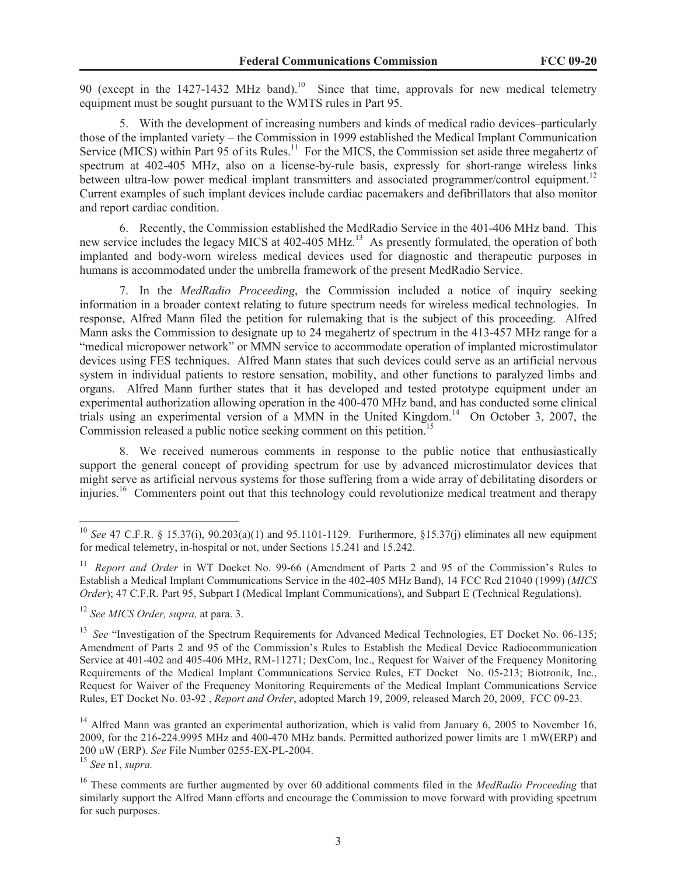90 (except in the 1427-1432 MHz band).<sup>10</sup> Since that time, approvals for new medical telemetry equipment must be sought pursuant to the WMTS rules in Part 95.

5. With the development of increasing numbers and kinds of medical radio devices–particularly those of the implanted variety – the Commission in 1999 established the Medical Implant Communication Service (MICS) within Part 95 of its Rules.<sup>11</sup> For the MICS, the Commission set aside three megahertz of spectrum at 402-405 MHz, also on a license-by-rule basis, expressly for short-range wireless links between ultra-low power medical implant transmitters and associated programmer/control equipment.<sup>12</sup> Current examples of such implant devices include cardiac pacemakers and defibrillators that also monitor and report cardiac condition.

6. Recently, the Commission established the MedRadio Service in the 401-406 MHz band. This new service includes the legacy MICS at 402-405 MHz.<sup>13</sup> As presently formulated, the operation of both implanted and body-worn wireless medical devices used for diagnostic and therapeutic purposes in humans is accommodated under the umbrella framework of the present MedRadio Service.

7. In the *MedRadio Proceeding*, the Commission included a notice of inquiry seeking information in a broader context relating to future spectrum needs for wireless medical technologies. In response, Alfred Mann filed the petition for rulemaking that is the subject of this proceeding. Alfred Mann asks the Commission to designate up to 24 megahertz of spectrum in the 413-457 MHz range for a "medical micropower network" or MMN service to accommodate operation of implanted microstimulator devices using FES techniques. Alfred Mann states that such devices could serve as an artificial nervous system in individual patients to restore sensation, mobility, and other functions to paralyzed limbs and organs. Alfred Mann further states that it has developed and tested prototype equipment under an experimental authorization allowing operation in the 400-470 MHz band, and has conducted some clinical trials using an experimental version of a MMN in the United Kingdom.<sup>14</sup> On October 3, 2007, the Commission released a public notice seeking comment on this petition.<sup>15</sup>

8. We received numerous comments in response to the public notice that enthusiastically support the general concept of providing spectrum for use by advanced microstimulator devices that might serve as artificial nervous systems for those suffering from a wide array of debilitating disorders or injuries.<sup>16</sup> Commenters point out that this technology could revolutionize medical treatment and therapy

<sup>&</sup>lt;sup>10</sup> *See* 47 C.F.R. § 15.37(i), 90.203(a)(1) and 95.1101-1129. Furthermore, §15.37(j) eliminates all new equipment for medical telemetry, in-hospital or not, under Sections 15.241 and 15.242.

<sup>&</sup>lt;sup>11</sup> *Report and Order* in WT Docket No. 99-66 (Amendment of Parts 2 and 95 of the Commission's Rules to Establish a Medical Implant Communications Service in the 402-405 MHz Band), 14 FCC Rcd 21040 (1999) (*MICS Order*); 47 C.F.R. Part 95, Subpart I (Medical Implant Communications), and Subpart E (Technical Regulations).

<sup>12</sup> *See MICS Order, supra,* at para. 3.

<sup>&</sup>lt;sup>13</sup> See "Investigation of the Spectrum Requirements for Advanced Medical Technologies, ET Docket No. 06-135; Amendment of Parts 2 and 95 of the Commission's Rules to Establish the Medical Device Radiocommunication Service at 401-402 and 405-406 MHz, RM-11271; DexCom, Inc., Request for Waiver of the Frequency Monitoring Requirements of the Medical Implant Communications Service Rules, ET Docket No. 05-213; Biotronik, Inc., Request for Waiver of the Frequency Monitoring Requirements of the Medical Implant Communications Service Rules, ET Docket No. 03-92 , *Report and Order*, adopted March 19, 2009, released March 20, 2009, FCC 09-23.

<sup>&</sup>lt;sup>14</sup> Alfred Mann was granted an experimental authorization, which is valid from January 6, 2005 to November 16, 2009, for the 216-224.9995 MHz and 400-470 MHz bands. Permitted authorized power limits are 1 mW(ERP) and 200 uW (ERP). *See* File Number 0255-EX-PL-2004.

<sup>15</sup> *See* n1, *supra.*

<sup>&</sup>lt;sup>16</sup> These comments are further augmented by over 60 additional comments filed in the *MedRadio Proceeding* that similarly support the Alfred Mann efforts and encourage the Commission to move forward with providing spectrum for such purposes.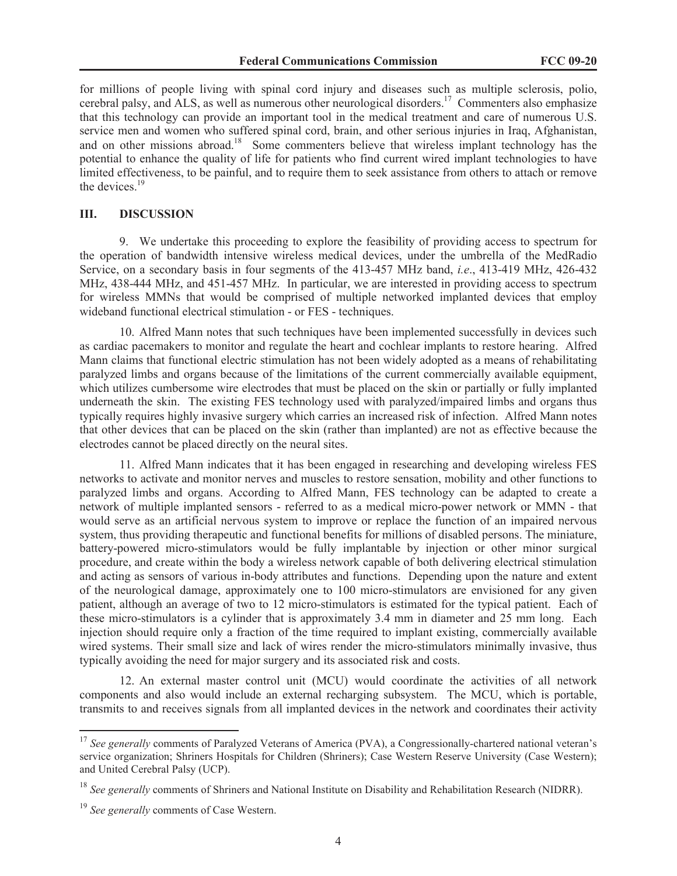for millions of people living with spinal cord injury and diseases such as multiple sclerosis, polio, cerebral palsy, and ALS, as well as numerous other neurological disorders.<sup>17</sup> Commenters also emphasize that this technology can provide an important tool in the medical treatment and care of numerous U.S. service men and women who suffered spinal cord, brain, and other serious injuries in Iraq, Afghanistan, and on other missions abroad.<sup>18</sup> Some commenters believe that wireless implant technology has the potential to enhance the quality of life for patients who find current wired implant technologies to have limited effectiveness, to be painful, and to require them to seek assistance from others to attach or remove the devices.<sup>19</sup>

## **III. DISCUSSION**

9. We undertake this proceeding to explore the feasibility of providing access to spectrum for the operation of bandwidth intensive wireless medical devices, under the umbrella of the MedRadio Service, on a secondary basis in four segments of the 413-457 MHz band, *i.e*., 413-419 MHz, 426-432 MHz, 438-444 MHz, and 451-457 MHz. In particular, we are interested in providing access to spectrum for wireless MMNs that would be comprised of multiple networked implanted devices that employ wideband functional electrical stimulation - or FES - techniques.

10. Alfred Mann notes that such techniques have been implemented successfully in devices such as cardiac pacemakers to monitor and regulate the heart and cochlear implants to restore hearing. Alfred Mann claims that functional electric stimulation has not been widely adopted as a means of rehabilitating paralyzed limbs and organs because of the limitations of the current commercially available equipment, which utilizes cumbersome wire electrodes that must be placed on the skin or partially or fully implanted underneath the skin. The existing FES technology used with paralyzed/impaired limbs and organs thus typically requires highly invasive surgery which carries an increased risk of infection. Alfred Mann notes that other devices that can be placed on the skin (rather than implanted) are not as effective because the electrodes cannot be placed directly on the neural sites.

11. Alfred Mann indicates that it has been engaged in researching and developing wireless FES networks to activate and monitor nerves and muscles to restore sensation, mobility and other functions to paralyzed limbs and organs. According to Alfred Mann, FES technology can be adapted to create a network of multiple implanted sensors - referred to as a medical micro-power network or MMN - that would serve as an artificial nervous system to improve or replace the function of an impaired nervous system, thus providing therapeutic and functional benefits for millions of disabled persons. The miniature, battery-powered micro-stimulators would be fully implantable by injection or other minor surgical procedure, and create within the body a wireless network capable of both delivering electrical stimulation and acting as sensors of various in-body attributes and functions. Depending upon the nature and extent of the neurological damage, approximately one to 100 micro-stimulators are envisioned for any given patient, although an average of two to 12 micro-stimulators is estimated for the typical patient. Each of these micro-stimulators is a cylinder that is approximately 3.4 mm in diameter and 25 mm long. Each injection should require only a fraction of the time required to implant existing, commercially available wired systems. Their small size and lack of wires render the micro-stimulators minimally invasive, thus typically avoiding the need for major surgery and its associated risk and costs.

12. An external master control unit (MCU) would coordinate the activities of all network components and also would include an external recharging subsystem. The MCU, which is portable, transmits to and receives signals from all implanted devices in the network and coordinates their activity

<sup>&</sup>lt;sup>17</sup> See generally comments of Paralyzed Veterans of America (PVA), a Congressionally-chartered national veteran's service organization; Shriners Hospitals for Children (Shriners); Case Western Reserve University (Case Western); and United Cerebral Palsy (UCP).

<sup>&</sup>lt;sup>18</sup> See generally comments of Shriners and National Institute on Disability and Rehabilitation Research (NIDRR).

<sup>19</sup> *See generally* comments of Case Western.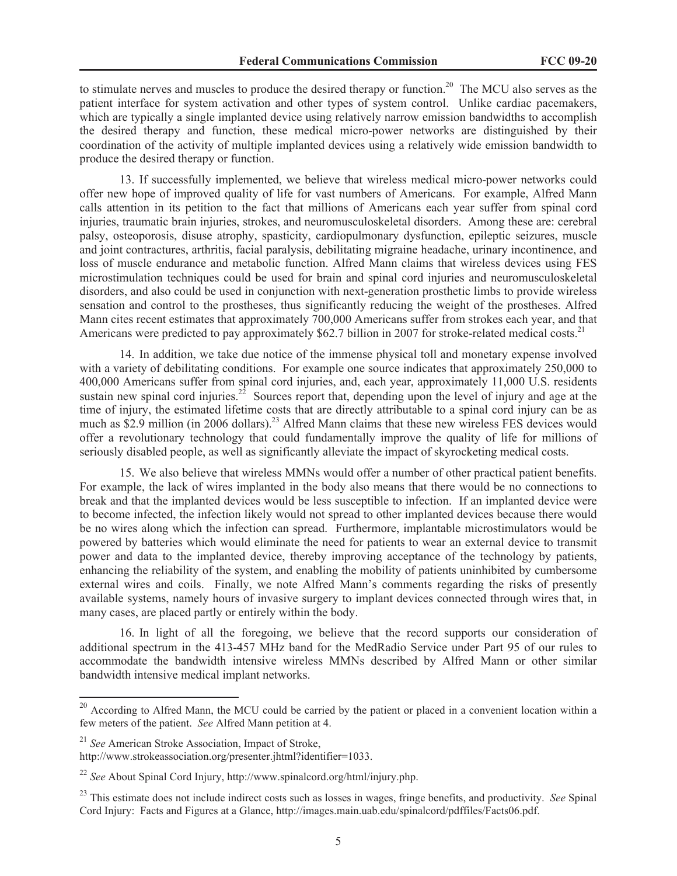to stimulate nerves and muscles to produce the desired therapy or function.<sup>20</sup> The MCU also serves as the patient interface for system activation and other types of system control. Unlike cardiac pacemakers, which are typically a single implanted device using relatively narrow emission bandwidths to accomplish the desired therapy and function, these medical micro-power networks are distinguished by their coordination of the activity of multiple implanted devices using a relatively wide emission bandwidth to produce the desired therapy or function.

13. If successfully implemented, we believe that wireless medical micro-power networks could offer new hope of improved quality of life for vast numbers of Americans. For example, Alfred Mann calls attention in its petition to the fact that millions of Americans each year suffer from spinal cord injuries, traumatic brain injuries, strokes, and neuromusculoskeletal disorders. Among these are: cerebral palsy, osteoporosis, disuse atrophy, spasticity, cardiopulmonary dysfunction, epileptic seizures, muscle and joint contractures, arthritis, facial paralysis, debilitating migraine headache, urinary incontinence, and loss of muscle endurance and metabolic function. Alfred Mann claims that wireless devices using FES microstimulation techniques could be used for brain and spinal cord injuries and neuromusculoskeletal disorders, and also could be used in conjunction with next-generation prosthetic limbs to provide wireless sensation and control to the prostheses, thus significantly reducing the weight of the prostheses. Alfred Mann cites recent estimates that approximately 700,000 Americans suffer from strokes each year, and that Americans were predicted to pay approximately \$62.7 billion in 2007 for stroke-related medical costs.<sup>21</sup>

14. In addition, we take due notice of the immense physical toll and monetary expense involved with a variety of debilitating conditions. For example one source indicates that approximately 250,000 to 400,000 Americans suffer from spinal cord injuries, and, each year, approximately 11,000 U.S. residents sustain new spinal cord injuries.<sup>22</sup> Sources report that, depending upon the level of injury and age at the time of injury, the estimated lifetime costs that are directly attributable to a spinal cord injury can be as much as \$2.9 million (in 2006 dollars).<sup>23</sup> Alfred Mann claims that these new wireless FES devices would offer a revolutionary technology that could fundamentally improve the quality of life for millions of seriously disabled people, as well as significantly alleviate the impact of skyrocketing medical costs.

15. We also believe that wireless MMNs would offer a number of other practical patient benefits. For example, the lack of wires implanted in the body also means that there would be no connections to break and that the implanted devices would be less susceptible to infection. If an implanted device were to become infected, the infection likely would not spread to other implanted devices because there would be no wires along which the infection can spread. Furthermore, implantable microstimulators would be powered by batteries which would eliminate the need for patients to wear an external device to transmit power and data to the implanted device, thereby improving acceptance of the technology by patients, enhancing the reliability of the system, and enabling the mobility of patients uninhibited by cumbersome external wires and coils. Finally, we note Alfred Mann's comments regarding the risks of presently available systems, namely hours of invasive surgery to implant devices connected through wires that, in many cases, are placed partly or entirely within the body.

16. In light of all the foregoing, we believe that the record supports our consideration of additional spectrum in the 413-457 MHz band for the MedRadio Service under Part 95 of our rules to accommodate the bandwidth intensive wireless MMNs described by Alfred Mann or other similar bandwidth intensive medical implant networks.

<sup>&</sup>lt;sup>20</sup> According to Alfred Mann, the MCU could be carried by the patient or placed in a convenient location within a few meters of the patient. *See* Alfred Mann petition at 4.

<sup>21</sup> *See* American Stroke Association, Impact of Stroke,

http://www.strokeassociation.org/presenter.jhtml?identifier=1033.

<sup>22</sup> *See* About Spinal Cord Injury, http://www.spinalcord.org/html/injury.php.

<sup>23</sup> This estimate does not include indirect costs such as losses in wages, fringe benefits, and productivity. *See* Spinal Cord Injury: Facts and Figures at a Glance, http://images.main.uab.edu/spinalcord/pdffiles/Facts06.pdf.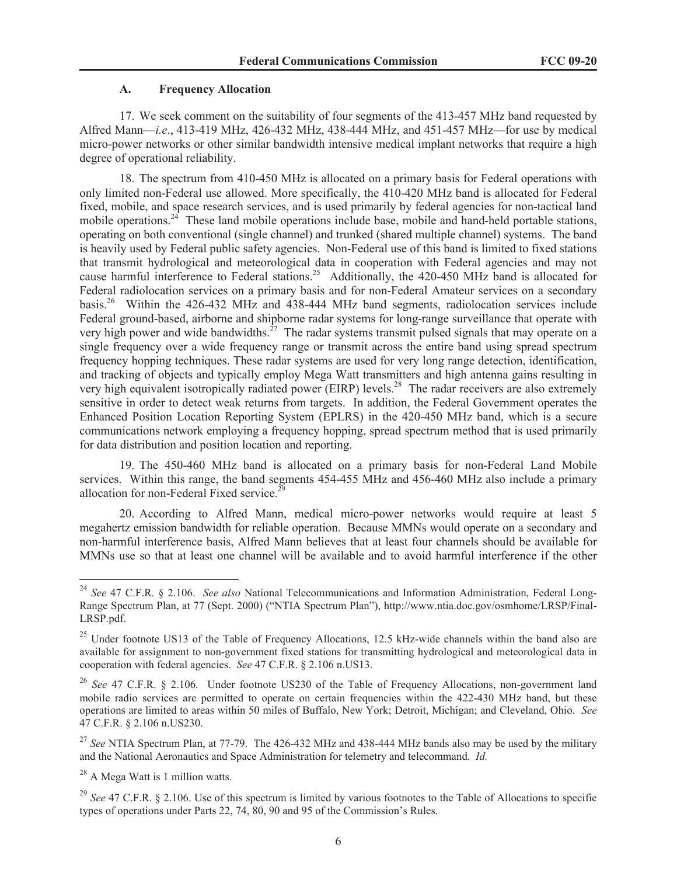#### **A. Frequency Allocation**

17. We seek comment on the suitability of four segments of the 413-457 MHz band requested by Alfred Mann—*i.e*., 413-419 MHz, 426-432 MHz, 438-444 MHz, and 451-457 MHz—for use by medical micro-power networks or other similar bandwidth intensive medical implant networks that require a high degree of operational reliability.

18. The spectrum from 410-450 MHz is allocated on a primary basis for Federal operations with only limited non-Federal use allowed. More specifically, the 410-420 MHz band is allocated for Federal fixed, mobile, and space research services, and is used primarily by federal agencies for non-tactical land mobile operations.<sup>24</sup> These land mobile operations include base, mobile and hand-held portable stations, operating on both conventional (single channel) and trunked (shared multiple channel) systems. The band is heavily used by Federal public safety agencies. Non-Federal use of this band is limited to fixed stations that transmit hydrological and meteorological data in cooperation with Federal agencies and may not cause harmful interference to Federal stations.<sup>25</sup> Additionally, the 420-450 MHz band is allocated for Federal radiolocation services on a primary basis and for non-Federal Amateur services on a secondary basis.<sup>26</sup> Within the 426-432 MHz and 438-444 MHz band segments, radiolocation services include Federal ground-based, airborne and shipborne radar systems for long-range surveillance that operate with very high power and wide bandwidths.<sup>27</sup> The radar systems transmit pulsed signals that may operate on a single frequency over a wide frequency range or transmit across the entire band using spread spectrum frequency hopping techniques. These radar systems are used for very long range detection, identification, and tracking of objects and typically employ Mega Watt transmitters and high antenna gains resulting in very high equivalent isotropically radiated power (EIRP) levels.<sup>28</sup> The radar receivers are also extremely sensitive in order to detect weak returns from targets. In addition, the Federal Government operates the Enhanced Position Location Reporting System (EPLRS) in the 420-450 MHz band, which is a secure communications network employing a frequency hopping, spread spectrum method that is used primarily for data distribution and position location and reporting.

19. The 450-460 MHz band is allocated on a primary basis for non-Federal Land Mobile services. Within this range, the band segments 454-455 MHz and 456-460 MHz also include a primary allocation for non-Federal Fixed service. $^{29}$ 

20. According to Alfred Mann, medical micro-power networks would require at least 5 megahertz emission bandwidth for reliable operation. Because MMNs would operate on a secondary and non-harmful interference basis, Alfred Mann believes that at least four channels should be available for MMNs use so that at least one channel will be available and to avoid harmful interference if the other

<sup>24</sup> *See* 47 C.F.R. § 2.106. *See also* National Telecommunications and Information Administration, Federal Long-Range Spectrum Plan, at 77 (Sept. 2000) ("NTIA Spectrum Plan"), http://www.ntia.doc.gov/osmhome/LRSP/Final-LRSP.pdf.

<sup>&</sup>lt;sup>25</sup> Under footnote US13 of the Table of Frequency Allocations, 12.5 kHz-wide channels within the band also are available for assignment to non-government fixed stations for transmitting hydrological and meteorological data in cooperation with federal agencies. *See* 47 C.F.R. § 2.106 n.US13.

<sup>26</sup> *See* 47 C.F.R. § 2.106*.* Under footnote US230 of the Table of Frequency Allocations, non-government land mobile radio services are permitted to operate on certain frequencies within the 422-430 MHz band, but these operations are limited to areas within 50 miles of Buffalo, New York; Detroit, Michigan; and Cleveland, Ohio. *See*  47 C.F.R. § 2.106 n.US230.

<sup>&</sup>lt;sup>27</sup> See NTIA Spectrum Plan, at 77-79. The 426-432 MHz and 438-444 MHz bands also may be used by the military and the National Aeronautics and Space Administration for telemetry and telecommand. *Id.*

<sup>28</sup> A Mega Watt is 1 million watts.

<sup>&</sup>lt;sup>29</sup> See 47 C.F.R. § 2.106. Use of this spectrum is limited by various footnotes to the Table of Allocations to specific types of operations under Parts 22, 74, 80, 90 and 95 of the Commission's Rules.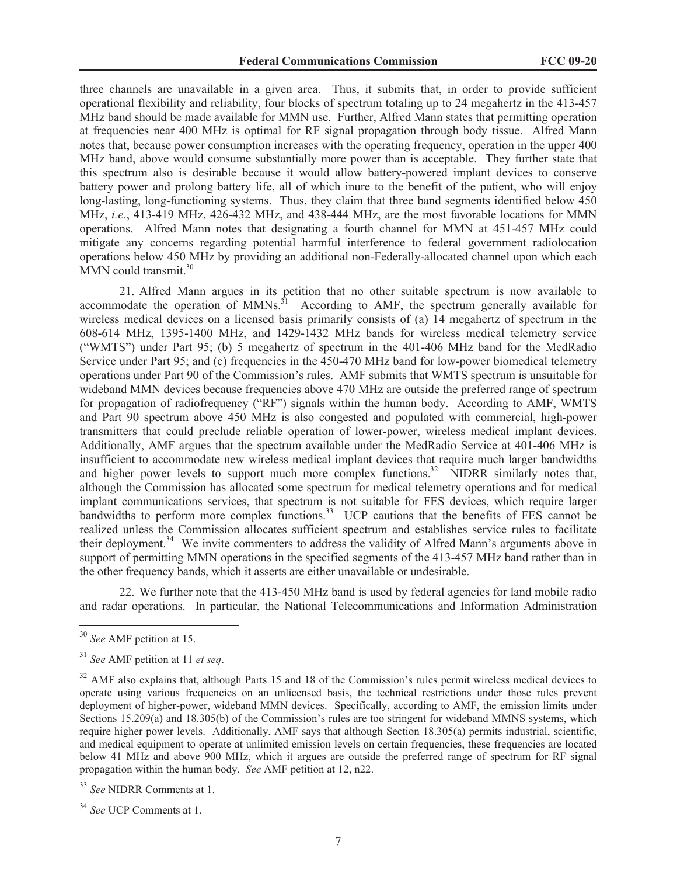three channels are unavailable in a given area. Thus, it submits that, in order to provide sufficient operational flexibility and reliability, four blocks of spectrum totaling up to 24 megahertz in the 413-457 MHz band should be made available for MMN use. Further, Alfred Mann states that permitting operation at frequencies near 400 MHz is optimal for RF signal propagation through body tissue. Alfred Mann notes that, because power consumption increases with the operating frequency, operation in the upper 400 MHz band, above would consume substantially more power than is acceptable. They further state that this spectrum also is desirable because it would allow battery-powered implant devices to conserve battery power and prolong battery life, all of which inure to the benefit of the patient, who will enjoy long-lasting, long-functioning systems. Thus, they claim that three band segments identified below 450 MHz, *i.e*., 413-419 MHz, 426-432 MHz, and 438-444 MHz, are the most favorable locations for MMN operations. Alfred Mann notes that designating a fourth channel for MMN at 451-457 MHz could mitigate any concerns regarding potential harmful interference to federal government radiolocation operations below 450 MHz by providing an additional non-Federally-allocated channel upon which each  $\text{MMN}$  could transmit.<sup>30</sup>

21. Alfred Mann argues in its petition that no other suitable spectrum is now available to accommodate the operation of  $MMNs$ <sup>31</sup> According to AMF, the spectrum generally available for wireless medical devices on a licensed basis primarily consists of (a) 14 megahertz of spectrum in the 608-614 MHz, 1395-1400 MHz, and 1429-1432 MHz bands for wireless medical telemetry service ("WMTS") under Part 95; (b) 5 megahertz of spectrum in the 401-406 MHz band for the MedRadio Service under Part 95; and (c) frequencies in the 450-470 MHz band for low-power biomedical telemetry operations under Part 90 of the Commission's rules. AMF submits that WMTS spectrum is unsuitable for wideband MMN devices because frequencies above 470 MHz are outside the preferred range of spectrum for propagation of radiofrequency ("RF") signals within the human body. According to AMF, WMTS and Part 90 spectrum above 450 MHz is also congested and populated with commercial, high-power transmitters that could preclude reliable operation of lower-power, wireless medical implant devices. Additionally, AMF argues that the spectrum available under the MedRadio Service at 401-406 MHz is insufficient to accommodate new wireless medical implant devices that require much larger bandwidths and higher power levels to support much more complex functions.<sup>32</sup> NIDRR similarly notes that, although the Commission has allocated some spectrum for medical telemetry operations and for medical implant communications services, that spectrum is not suitable for FES devices, which require larger bandwidths to perform more complex functions.<sup>33</sup> UCP cautions that the benefits of FES cannot be realized unless the Commission allocates sufficient spectrum and establishes service rules to facilitate their deployment.<sup>34</sup> We invite commenters to address the validity of Alfred Mann's arguments above in support of permitting MMN operations in the specified segments of the 413-457 MHz band rather than in the other frequency bands, which it asserts are either unavailable or undesirable.

22. We further note that the 413-450 MHz band is used by federal agencies for land mobile radio and radar operations. In particular, the National Telecommunications and Information Administration

<sup>30</sup> *See* AMF petition at 15.

<sup>31</sup> *See* AMF petition at 11 *et seq*.

 $32$  AMF also explains that, although Parts 15 and 18 of the Commission's rules permit wireless medical devices to operate using various frequencies on an unlicensed basis, the technical restrictions under those rules prevent deployment of higher-power, wideband MMN devices. Specifically, according to AMF, the emission limits under Sections 15.209(a) and 18.305(b) of the Commission's rules are too stringent for wideband MMNS systems, which require higher power levels. Additionally, AMF says that although Section 18.305(a) permits industrial, scientific, and medical equipment to operate at unlimited emission levels on certain frequencies, these frequencies are located below 41 MHz and above 900 MHz, which it argues are outside the preferred range of spectrum for RF signal propagation within the human body. *See* AMF petition at 12, n22.

<sup>33</sup> *See* NIDRR Comments at 1.

<sup>34</sup> *See* UCP Comments at 1.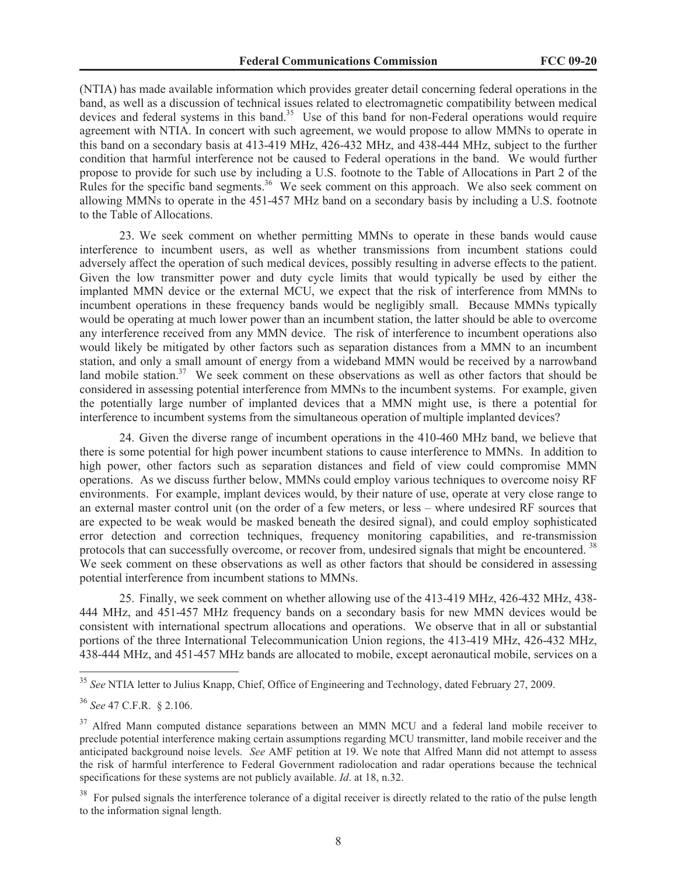(NTIA) has made available information which provides greater detail concerning federal operations in the band, as well as a discussion of technical issues related to electromagnetic compatibility between medical devices and federal systems in this band.<sup>35</sup> Use of this band for non-Federal operations would require agreement with NTIA. In concert with such agreement, we would propose to allow MMNs to operate in this band on a secondary basis at 413-419 MHz, 426-432 MHz, and 438-444 MHz, subject to the further condition that harmful interference not be caused to Federal operations in the band. We would further propose to provide for such use by including a U.S. footnote to the Table of Allocations in Part 2 of the Rules for the specific band segments.<sup>36</sup> We seek comment on this approach. We also seek comment on allowing MMNs to operate in the 451-457 MHz band on a secondary basis by including a U.S. footnote to the Table of Allocations.

23. We seek comment on whether permitting MMNs to operate in these bands would cause interference to incumbent users, as well as whether transmissions from incumbent stations could adversely affect the operation of such medical devices, possibly resulting in adverse effects to the patient. Given the low transmitter power and duty cycle limits that would typically be used by either the implanted MMN device or the external MCU, we expect that the risk of interference from MMNs to incumbent operations in these frequency bands would be negligibly small. Because MMNs typically would be operating at much lower power than an incumbent station, the latter should be able to overcome any interference received from any MMN device. The risk of interference to incumbent operations also would likely be mitigated by other factors such as separation distances from a MMN to an incumbent station, and only a small amount of energy from a wideband MMN would be received by a narrowband land mobile station.<sup>37</sup> We seek comment on these observations as well as other factors that should be considered in assessing potential interference from MMNs to the incumbent systems. For example, given the potentially large number of implanted devices that a MMN might use, is there a potential for interference to incumbent systems from the simultaneous operation of multiple implanted devices?

24. Given the diverse range of incumbent operations in the 410-460 MHz band, we believe that there is some potential for high power incumbent stations to cause interference to MMNs. In addition to high power, other factors such as separation distances and field of view could compromise MMN operations. As we discuss further below, MMNs could employ various techniques to overcome noisy RF environments. For example, implant devices would, by their nature of use, operate at very close range to an external master control unit (on the order of a few meters, or less – where undesired RF sources that are expected to be weak would be masked beneath the desired signal), and could employ sophisticated error detection and correction techniques, frequency monitoring capabilities, and re-transmission protocols that can successfully overcome, or recover from, undesired signals that might be encountered. <sup>38</sup> We seek comment on these observations as well as other factors that should be considered in assessing potential interference from incumbent stations to MMNs.

25. Finally, we seek comment on whether allowing use of the 413-419 MHz, 426-432 MHz, 438- 444 MHz, and 451-457 MHz frequency bands on a secondary basis for new MMN devices would be consistent with international spectrum allocations and operations. We observe that in all or substantial portions of the three International Telecommunication Union regions, the 413-419 MHz, 426-432 MHz, 438-444 MHz, and 451-457 MHz bands are allocated to mobile, except aeronautical mobile, services on a

<sup>35</sup> *See* NTIA letter to Julius Knapp, Chief, Office of Engineering and Technology, dated February 27, 2009.

<sup>36</sup> *See* 47 C.F.R. § 2.106.

<sup>&</sup>lt;sup>37</sup> Alfred Mann computed distance separations between an MMN MCU and a federal land mobile receiver to preclude potential interference making certain assumptions regarding MCU transmitter, land mobile receiver and the anticipated background noise levels. *See* AMF petition at 19. We note that Alfred Mann did not attempt to assess the risk of harmful interference to Federal Government radiolocation and radar operations because the technical specifications for these systems are not publicly available. *Id*. at 18, n.32.

<sup>38</sup> For pulsed signals the interference tolerance of a digital receiver is directly related to the ratio of the pulse length to the information signal length.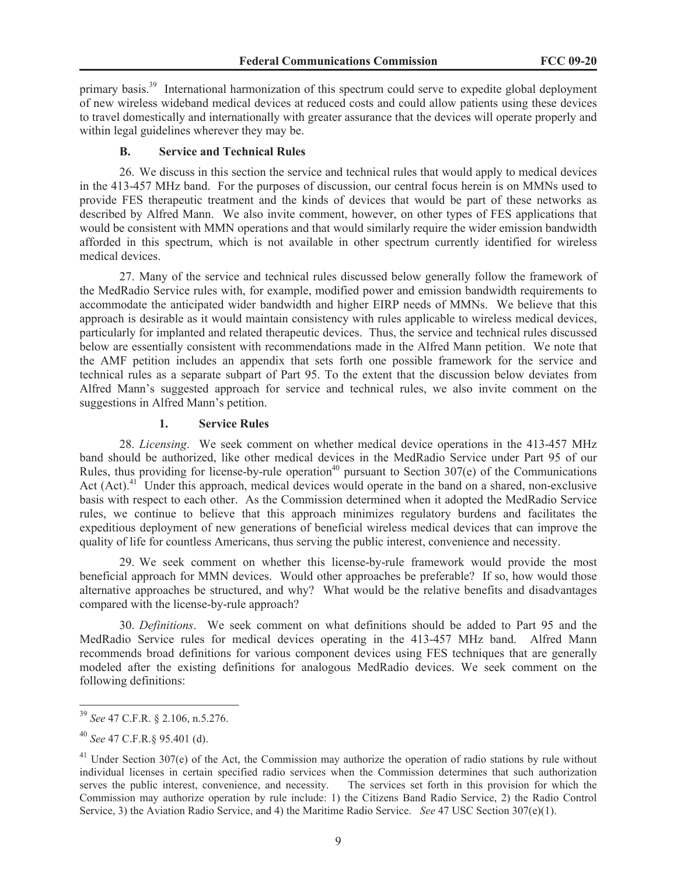primary basis.<sup>39</sup> International harmonization of this spectrum could serve to expedite global deployment of new wireless wideband medical devices at reduced costs and could allow patients using these devices to travel domestically and internationally with greater assurance that the devices will operate properly and within legal guidelines wherever they may be.

#### **B. Service and Technical Rules**

26. We discuss in this section the service and technical rules that would apply to medical devices in the 413-457 MHz band. For the purposes of discussion, our central focus herein is on MMNs used to provide FES therapeutic treatment and the kinds of devices that would be part of these networks as described by Alfred Mann. We also invite comment, however, on other types of FES applications that would be consistent with MMN operations and that would similarly require the wider emission bandwidth afforded in this spectrum, which is not available in other spectrum currently identified for wireless medical devices.

27. Many of the service and technical rules discussed below generally follow the framework of the MedRadio Service rules with, for example, modified power and emission bandwidth requirements to accommodate the anticipated wider bandwidth and higher EIRP needs of MMNs. We believe that this approach is desirable as it would maintain consistency with rules applicable to wireless medical devices, particularly for implanted and related therapeutic devices. Thus, the service and technical rules discussed below are essentially consistent with recommendations made in the Alfred Mann petition. We note that the AMF petition includes an appendix that sets forth one possible framework for the service and technical rules as a separate subpart of Part 95. To the extent that the discussion below deviates from Alfred Mann's suggested approach for service and technical rules, we also invite comment on the suggestions in Alfred Mann's petition.

#### **1. Service Rules**

28. *Licensing*. We seek comment on whether medical device operations in the 413-457 MHz band should be authorized, like other medical devices in the MedRadio Service under Part 95 of our Rules, thus providing for license-by-rule operation<sup>40</sup> pursuant to Section  $307(e)$  of the Communications Act  $(Act)$ .<sup>41</sup> Under this approach, medical devices would operate in the band on a shared, non-exclusive basis with respect to each other. As the Commission determined when it adopted the MedRadio Service rules, we continue to believe that this approach minimizes regulatory burdens and facilitates the expeditious deployment of new generations of beneficial wireless medical devices that can improve the quality of life for countless Americans, thus serving the public interest, convenience and necessity.

29. We seek comment on whether this license-by-rule framework would provide the most beneficial approach for MMN devices. Would other approaches be preferable? If so, how would those alternative approaches be structured, and why? What would be the relative benefits and disadvantages compared with the license-by-rule approach?

30. *Definitions*. We seek comment on what definitions should be added to Part 95 and the MedRadio Service rules for medical devices operating in the 413-457 MHz band. Alfred Mann recommends broad definitions for various component devices using FES techniques that are generally modeled after the existing definitions for analogous MedRadio devices. We seek comment on the following definitions:

<sup>39</sup> *See* 47 C.F.R. § 2.106, n.5.276.

<sup>40</sup> *See* 47 C.F.R.§ 95.401 (d).

 $41$  Under Section 307(e) of the Act, the Commission may authorize the operation of radio stations by rule without individual licenses in certain specified radio services when the Commission determines that such authorization serves the public interest, convenience, and necessity. The services set forth in this provision for which the Commission may authorize operation by rule include: 1) the Citizens Band Radio Service, 2) the Radio Control Service, 3) the Aviation Radio Service, and 4) the Maritime Radio Service. *See* 47 USC Section 307(e)(1).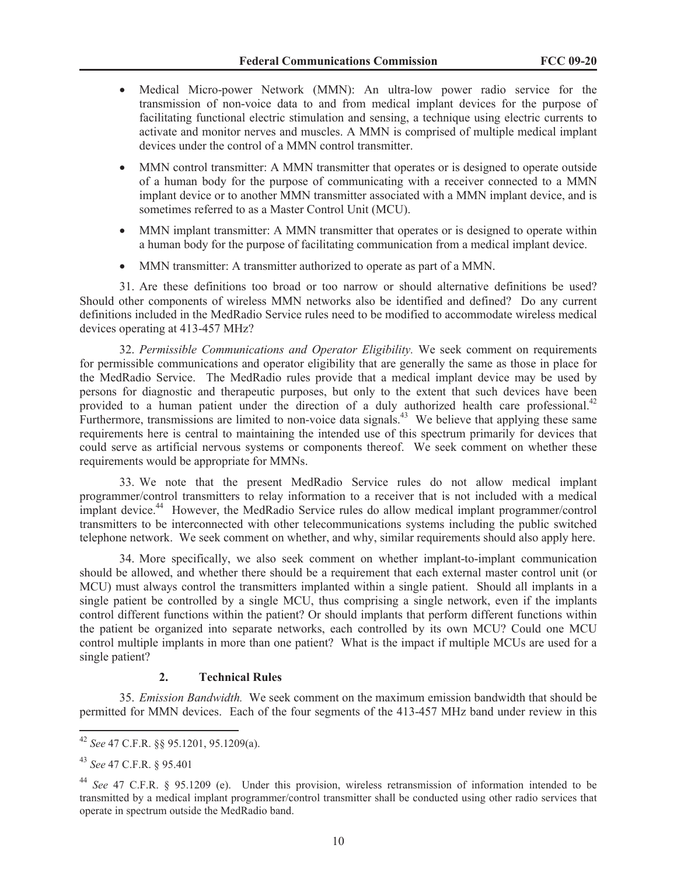- Medical Micro-power Network (MMN): An ultra-low power radio service for the transmission of non-voice data to and from medical implant devices for the purpose of facilitating functional electric stimulation and sensing, a technique using electric currents to activate and monitor nerves and muscles. A MMN is comprised of multiple medical implant devices under the control of a MMN control transmitter.
- MMN control transmitter: A MMN transmitter that operates or is designed to operate outside of a human body for the purpose of communicating with a receiver connected to a MMN implant device or to another MMN transmitter associated with a MMN implant device, and is sometimes referred to as a Master Control Unit (MCU).
- MMN implant transmitter: A MMN transmitter that operates or is designed to operate within a human body for the purpose of facilitating communication from a medical implant device.
- MMN transmitter: A transmitter authorized to operate as part of a MMN.

31. Are these definitions too broad or too narrow or should alternative definitions be used? Should other components of wireless MMN networks also be identified and defined? Do any current definitions included in the MedRadio Service rules need to be modified to accommodate wireless medical devices operating at 413-457 MHz?

32. *Permissible Communications and Operator Eligibility.* We seek comment on requirements for permissible communications and operator eligibility that are generally the same as those in place for the MedRadio Service. The MedRadio rules provide that a medical implant device may be used by persons for diagnostic and therapeutic purposes, but only to the extent that such devices have been provided to a human patient under the direction of a duly authorized health care professional.<sup>42</sup> Furthermore, transmissions are limited to non-voice data signals.<sup>43</sup> We believe that applying these same requirements here is central to maintaining the intended use of this spectrum primarily for devices that could serve as artificial nervous systems or components thereof. We seek comment on whether these requirements would be appropriate for MMNs.

33. We note that the present MedRadio Service rules do not allow medical implant programmer/control transmitters to relay information to a receiver that is not included with a medical implant device.<sup>44</sup> However, the MedRadio Service rules do allow medical implant programmer/control transmitters to be interconnected with other telecommunications systems including the public switched telephone network. We seek comment on whether, and why, similar requirements should also apply here.

34. More specifically, we also seek comment on whether implant-to-implant communication should be allowed, and whether there should be a requirement that each external master control unit (or MCU) must always control the transmitters implanted within a single patient. Should all implants in a single patient be controlled by a single MCU, thus comprising a single network, even if the implants control different functions within the patient? Or should implants that perform different functions within the patient be organized into separate networks, each controlled by its own MCU? Could one MCU control multiple implants in more than one patient? What is the impact if multiple MCUs are used for a single patient?

## **2. Technical Rules**

35. *Emission Bandwidth.* We seek comment on the maximum emission bandwidth that should be permitted for MMN devices. Each of the four segments of the 413-457 MHz band under review in this

<sup>42</sup> *See* 47 C.F.R. §§ 95.1201, 95.1209(a).

<sup>43</sup> *See* 47 C.F.R. § 95.401

<sup>44</sup> *See* 47 C.F.R. § 95.1209 (e). Under this provision, wireless retransmission of information intended to be transmitted by a medical implant programmer/control transmitter shall be conducted using other radio services that operate in spectrum outside the MedRadio band.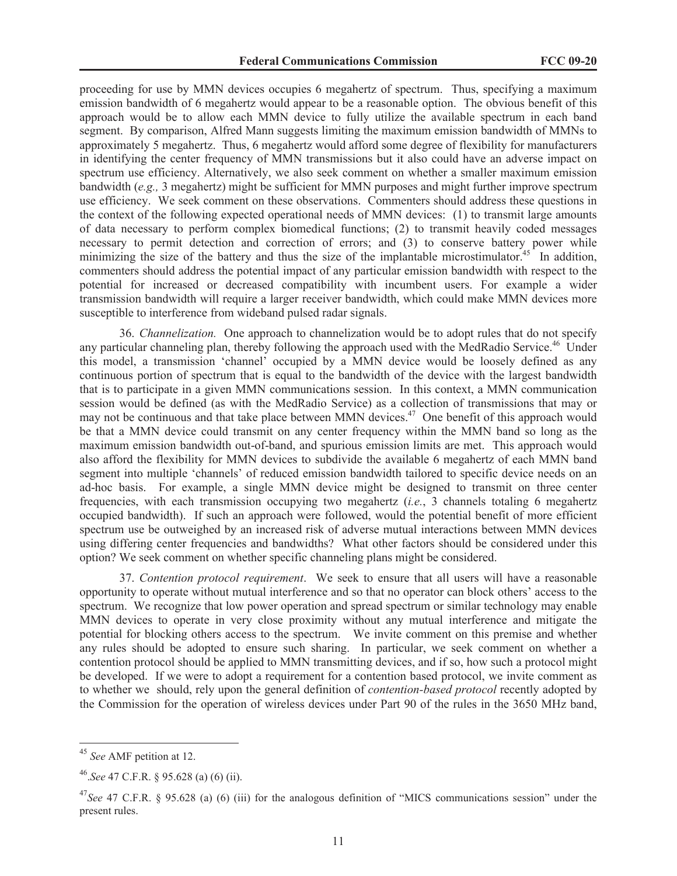proceeding for use by MMN devices occupies 6 megahertz of spectrum. Thus, specifying a maximum emission bandwidth of 6 megahertz would appear to be a reasonable option. The obvious benefit of this approach would be to allow each MMN device to fully utilize the available spectrum in each band segment. By comparison, Alfred Mann suggests limiting the maximum emission bandwidth of MMNs to approximately 5 megahertz. Thus, 6 megahertz would afford some degree of flexibility for manufacturers in identifying the center frequency of MMN transmissions but it also could have an adverse impact on spectrum use efficiency. Alternatively, we also seek comment on whether a smaller maximum emission bandwidth (*e.g.,* 3 megahertz) might be sufficient for MMN purposes and might further improve spectrum use efficiency. We seek comment on these observations. Commenters should address these questions in the context of the following expected operational needs of MMN devices: (1) to transmit large amounts of data necessary to perform complex biomedical functions; (2) to transmit heavily coded messages necessary to permit detection and correction of errors; and (3) to conserve battery power while minimizing the size of the battery and thus the size of the implantable microstimulator.<sup>45</sup> In addition, commenters should address the potential impact of any particular emission bandwidth with respect to the potential for increased or decreased compatibility with incumbent users. For example a wider transmission bandwidth will require a larger receiver bandwidth, which could make MMN devices more susceptible to interference from wideband pulsed radar signals.

36. *Channelization.* One approach to channelization would be to adopt rules that do not specify any particular channeling plan, thereby following the approach used with the MedRadio Service.<sup>46</sup> Under this model, a transmission 'channel' occupied by a MMN device would be loosely defined as any continuous portion of spectrum that is equal to the bandwidth of the device with the largest bandwidth that is to participate in a given MMN communications session. In this context, a MMN communication session would be defined (as with the MedRadio Service) as a collection of transmissions that may or may not be continuous and that take place between MMN devices.<sup>47</sup> One benefit of this approach would be that a MMN device could transmit on any center frequency within the MMN band so long as the maximum emission bandwidth out-of-band, and spurious emission limits are met. This approach would also afford the flexibility for MMN devices to subdivide the available 6 megahertz of each MMN band segment into multiple 'channels' of reduced emission bandwidth tailored to specific device needs on an ad-hoc basis. For example, a single MMN device might be designed to transmit on three center frequencies, with each transmission occupying two megahertz (*i.e.*, 3 channels totaling 6 megahertz occupied bandwidth). If such an approach were followed, would the potential benefit of more efficient spectrum use be outweighed by an increased risk of adverse mutual interactions between MMN devices using differing center frequencies and bandwidths? What other factors should be considered under this option? We seek comment on whether specific channeling plans might be considered.

37. *Contention protocol requirement*. We seek to ensure that all users will have a reasonable opportunity to operate without mutual interference and so that no operator can block others' access to the spectrum. We recognize that low power operation and spread spectrum or similar technology may enable MMN devices to operate in very close proximity without any mutual interference and mitigate the potential for blocking others access to the spectrum. We invite comment on this premise and whether any rules should be adopted to ensure such sharing. In particular, we seek comment on whether a contention protocol should be applied to MMN transmitting devices, and if so, how such a protocol might be developed. If we were to adopt a requirement for a contention based protocol, we invite comment as to whether we should, rely upon the general definition of *contention-based protocol* recently adopted by the Commission for the operation of wireless devices under Part 90 of the rules in the 3650 MHz band,

<sup>45</sup> *See* AMF petition at 12.

<sup>46</sup> .*See* 47 C.F.R. § 95.628 (a) (6) (ii).

<sup>&</sup>lt;sup>47</sup>See 47 C.F.R. § 95.628 (a) (6) (iii) for the analogous definition of "MICS communications session" under the present rules.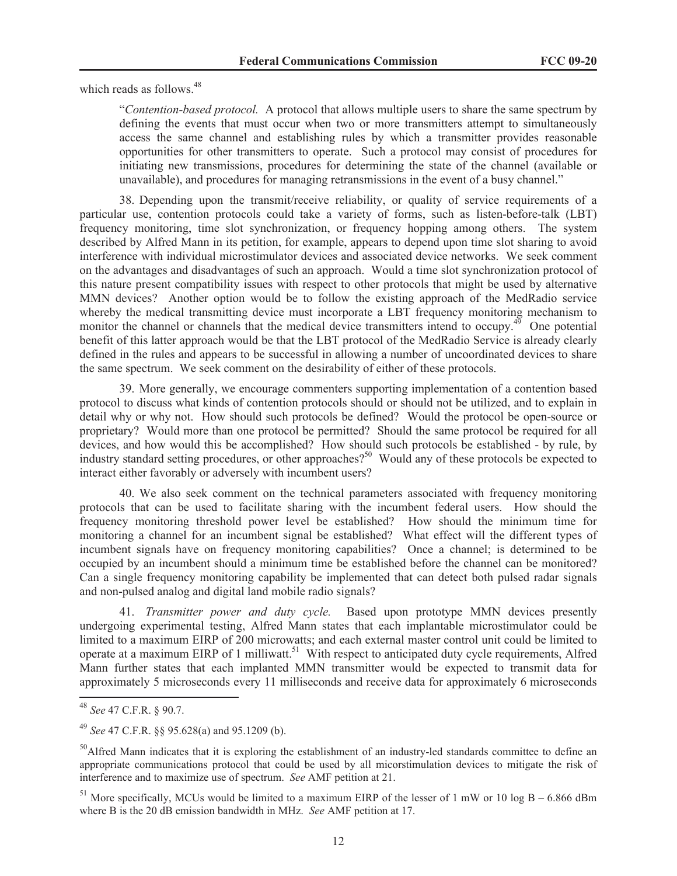which reads as follows. 48

"*Contention-based protocol.* A protocol that allows multiple users to share the same spectrum by defining the events that must occur when two or more transmitters attempt to simultaneously access the same channel and establishing rules by which a transmitter provides reasonable opportunities for other transmitters to operate. Such a protocol may consist of procedures for initiating new transmissions, procedures for determining the state of the channel (available or unavailable), and procedures for managing retransmissions in the event of a busy channel."

38. Depending upon the transmit/receive reliability, or quality of service requirements of a particular use, contention protocols could take a variety of forms, such as listen-before-talk (LBT) frequency monitoring, time slot synchronization, or frequency hopping among others. The system described by Alfred Mann in its petition, for example, appears to depend upon time slot sharing to avoid interference with individual microstimulator devices and associated device networks. We seek comment on the advantages and disadvantages of such an approach. Would a time slot synchronization protocol of this nature present compatibility issues with respect to other protocols that might be used by alternative MMN devices? Another option would be to follow the existing approach of the MedRadio service whereby the medical transmitting device must incorporate a LBT frequency monitoring mechanism to monitor the channel or channels that the medical device transmitters intend to occupy.<sup>49</sup> One potential benefit of this latter approach would be that the LBT protocol of the MedRadio Service is already clearly defined in the rules and appears to be successful in allowing a number of uncoordinated devices to share the same spectrum. We seek comment on the desirability of either of these protocols.

39. More generally, we encourage commenters supporting implementation of a contention based protocol to discuss what kinds of contention protocols should or should not be utilized, and to explain in detail why or why not. How should such protocols be defined? Would the protocol be open-source or proprietary? Would more than one protocol be permitted? Should the same protocol be required for all devices, and how would this be accomplished? How should such protocols be established - by rule, by industry standard setting procedures, or other approaches?<sup>50</sup> Would any of these protocols be expected to interact either favorably or adversely with incumbent users?

40. We also seek comment on the technical parameters associated with frequency monitoring protocols that can be used to facilitate sharing with the incumbent federal users. How should the frequency monitoring threshold power level be established? How should the minimum time for monitoring a channel for an incumbent signal be established? What effect will the different types of incumbent signals have on frequency monitoring capabilities? Once a channel; is determined to be occupied by an incumbent should a minimum time be established before the channel can be monitored? Can a single frequency monitoring capability be implemented that can detect both pulsed radar signals and non-pulsed analog and digital land mobile radio signals?

41. *Transmitter power and duty cycle.* Based upon prototype MMN devices presently undergoing experimental testing, Alfred Mann states that each implantable microstimulator could be limited to a maximum EIRP of 200 microwatts; and each external master control unit could be limited to operate at a maximum EIRP of 1 milliwatt.<sup>51</sup> With respect to anticipated duty cycle requirements, Alfred Mann further states that each implanted MMN transmitter would be expected to transmit data for approximately 5 microseconds every 11 milliseconds and receive data for approximately 6 microseconds

<sup>48</sup> *See* 47 C.F.R. § 90.7.

<sup>49</sup> *See* 47 C.F.R. §§ 95.628(a) and 95.1209 (b).

 $50$ Alfred Mann indicates that it is exploring the establishment of an industry-led standards committee to define an appropriate communications protocol that could be used by all micorstimulation devices to mitigate the risk of interference and to maximize use of spectrum. *See* AMF petition at 21.

<sup>&</sup>lt;sup>51</sup> More specifically, MCUs would be limited to a maximum EIRP of the lesser of 1 mW or 10 log B – 6.866 dBm where B is the 20 dB emission bandwidth in MHz. *See* AMF petition at 17.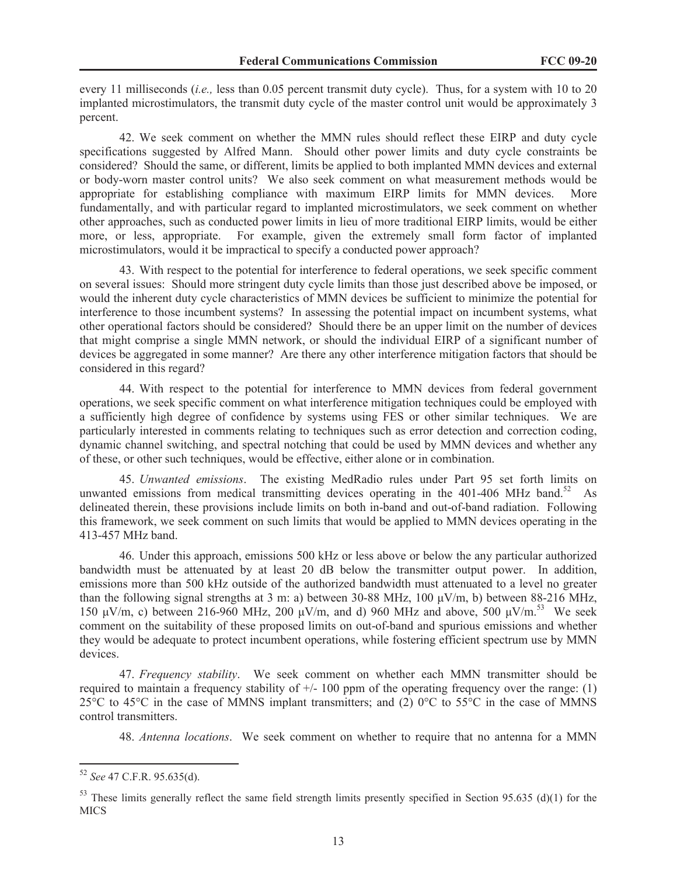every 11 milliseconds (*i.e.,* less than 0.05 percent transmit duty cycle). Thus, for a system with 10 to 20 implanted microstimulators, the transmit duty cycle of the master control unit would be approximately 3 percent.

42. We seek comment on whether the MMN rules should reflect these EIRP and duty cycle specifications suggested by Alfred Mann. Should other power limits and duty cycle constraints be considered? Should the same, or different, limits be applied to both implanted MMN devices and external or body-worn master control units? We also seek comment on what measurement methods would be appropriate for establishing compliance with maximum EIRP limits for MMN devices. More fundamentally, and with particular regard to implanted microstimulators, we seek comment on whether other approaches, such as conducted power limits in lieu of more traditional EIRP limits, would be either more, or less, appropriate. For example, given the extremely small form factor of implanted microstimulators, would it be impractical to specify a conducted power approach?

43. With respect to the potential for interference to federal operations, we seek specific comment on several issues: Should more stringent duty cycle limits than those just described above be imposed, or would the inherent duty cycle characteristics of MMN devices be sufficient to minimize the potential for interference to those incumbent systems? In assessing the potential impact on incumbent systems, what other operational factors should be considered? Should there be an upper limit on the number of devices that might comprise a single MMN network, or should the individual EIRP of a significant number of devices be aggregated in some manner? Are there any other interference mitigation factors that should be considered in this regard?

44. With respect to the potential for interference to MMN devices from federal government operations, we seek specific comment on what interference mitigation techniques could be employed with a sufficiently high degree of confidence by systems using FES or other similar techniques. We are particularly interested in comments relating to techniques such as error detection and correction coding, dynamic channel switching, and spectral notching that could be used by MMN devices and whether any of these, or other such techniques, would be effective, either alone or in combination.

45. *Unwanted emissions*. The existing MedRadio rules under Part 95 set forth limits on unwanted emissions from medical transmitting devices operating in the 401-406 MHz band.<sup>52</sup> As delineated therein, these provisions include limits on both in-band and out-of-band radiation. Following this framework, we seek comment on such limits that would be applied to MMN devices operating in the 413-457 MHz band.

46. Under this approach, emissions 500 kHz or less above or below the any particular authorized bandwidth must be attenuated by at least 20 dB below the transmitter output power. In addition, emissions more than 500 kHz outside of the authorized bandwidth must attenuated to a level no greater than the following signal strengths at 3 m: a) between 30-88 MHz, 100 μV/m, b) between 88-216 MHz, 150 μV/m, c) between 216-960 MHz, 200 μV/m, and d) 960 MHz and above, 500 μV/m.<sup>53</sup> We seek comment on the suitability of these proposed limits on out-of-band and spurious emissions and whether they would be adequate to protect incumbent operations, while fostering efficient spectrum use by MMN devices.

47. *Frequency stability*. We seek comment on whether each MMN transmitter should be required to maintain a frequency stability of  $+/- 100$  ppm of the operating frequency over the range: (1) 25 $\degree$ C to 45 $\degree$ C in the case of MMNS implant transmitters; and (2)  $0\degree$ C to 55 $\degree$ C in the case of MMNS control transmitters.

48. *Antenna locations*. We seek comment on whether to require that no antenna for a MMN

<sup>52</sup> *See* 47 C.F.R. 95.635(d).

 $53$  These limits generally reflect the same field strength limits presently specified in Section 95.635 (d)(1) for the **MICS**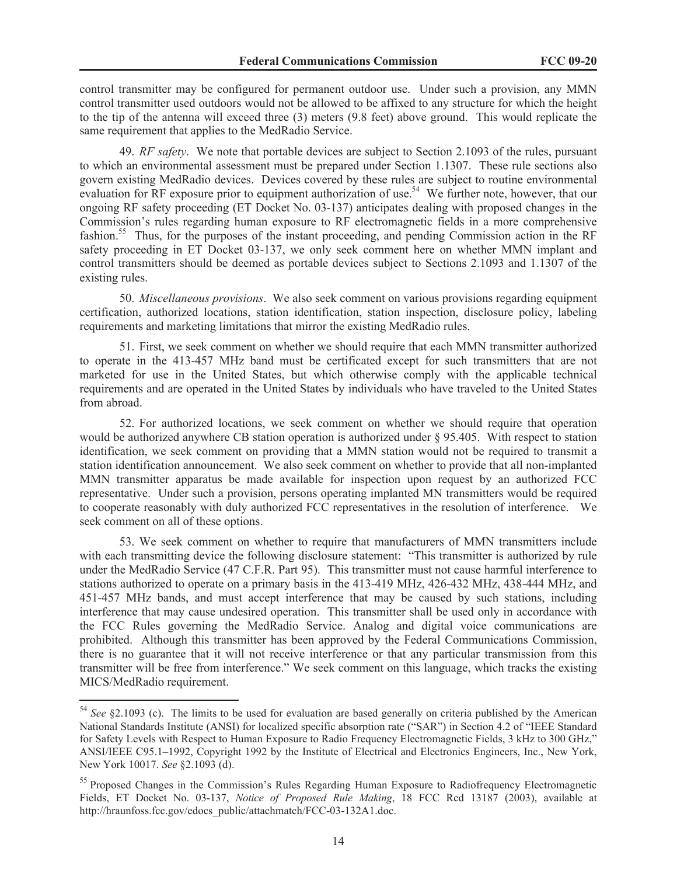control transmitter may be configured for permanent outdoor use. Under such a provision, any MMN control transmitter used outdoors would not be allowed to be affixed to any structure for which the height to the tip of the antenna will exceed three (3) meters (9.8 feet) above ground. This would replicate the same requirement that applies to the MedRadio Service.

49. *RF safety*. We note that portable devices are subject to Section 2.1093 of the rules, pursuant to which an environmental assessment must be prepared under Section 1.1307. These rule sections also govern existing MedRadio devices. Devices covered by these rules are subject to routine environmental evaluation for RF exposure prior to equipment authorization of use.<sup>54</sup> We further note, however, that our ongoing RF safety proceeding (ET Docket No. 03-137) anticipates dealing with proposed changes in the Commission's rules regarding human exposure to RF electromagnetic fields in a more comprehensive fashion.<sup>55</sup> Thus, for the purposes of the instant proceeding, and pending Commission action in the RF safety proceeding in ET Docket 03-137, we only seek comment here on whether MMN implant and control transmitters should be deemed as portable devices subject to Sections 2.1093 and 1.1307 of the existing rules.

50. *Miscellaneous provisions*. We also seek comment on various provisions regarding equipment certification, authorized locations, station identification, station inspection, disclosure policy, labeling requirements and marketing limitations that mirror the existing MedRadio rules.

51. First, we seek comment on whether we should require that each MMN transmitter authorized to operate in the 413-457 MHz band must be certificated except for such transmitters that are not marketed for use in the United States, but which otherwise comply with the applicable technical requirements and are operated in the United States by individuals who have traveled to the United States from abroad.

52. For authorized locations, we seek comment on whether we should require that operation would be authorized anywhere CB station operation is authorized under § 95.405. With respect to station identification, we seek comment on providing that a MMN station would not be required to transmit a station identification announcement. We also seek comment on whether to provide that all non-implanted MMN transmitter apparatus be made available for inspection upon request by an authorized FCC representative. Under such a provision, persons operating implanted MN transmitters would be required to cooperate reasonably with duly authorized FCC representatives in the resolution of interference. We seek comment on all of these options.

53. We seek comment on whether to require that manufacturers of MMN transmitters include with each transmitting device the following disclosure statement: "This transmitter is authorized by rule under the MedRadio Service (47 C.F.R. Part 95). This transmitter must not cause harmful interference to stations authorized to operate on a primary basis in the 413-419 MHz, 426-432 MHz, 438-444 MHz, and 451-457 MHz bands, and must accept interference that may be caused by such stations, including interference that may cause undesired operation. This transmitter shall be used only in accordance with the FCC Rules governing the MedRadio Service. Analog and digital voice communications are prohibited. Although this transmitter has been approved by the Federal Communications Commission, there is no guarantee that it will not receive interference or that any particular transmission from this transmitter will be free from interference." We seek comment on this language, which tracks the existing MICS/MedRadio requirement.

<sup>54</sup> *See* §2.1093 (c). The limits to be used for evaluation are based generally on criteria published by the American National Standards Institute (ANSI) for localized specific absorption rate ("SAR") in Section 4.2 of "IEEE Standard for Safety Levels with Respect to Human Exposure to Radio Frequency Electromagnetic Fields, 3 kHz to 300 GHz," ANSI/IEEE C95.1–1992, Copyright 1992 by the Institute of Electrical and Electronics Engineers, Inc., New York, New York 10017. *See* §2.1093 (d).

<sup>&</sup>lt;sup>55</sup> Proposed Changes in the Commission's Rules Regarding Human Exposure to Radiofrequency Electromagnetic Fields, ET Docket No. 03-137, *Notice of Proposed Rule Making*, 18 FCC Rcd 13187 (2003), available at http://hraunfoss.fcc.gov/edocs\_public/attachmatch/FCC-03-132A1.doc.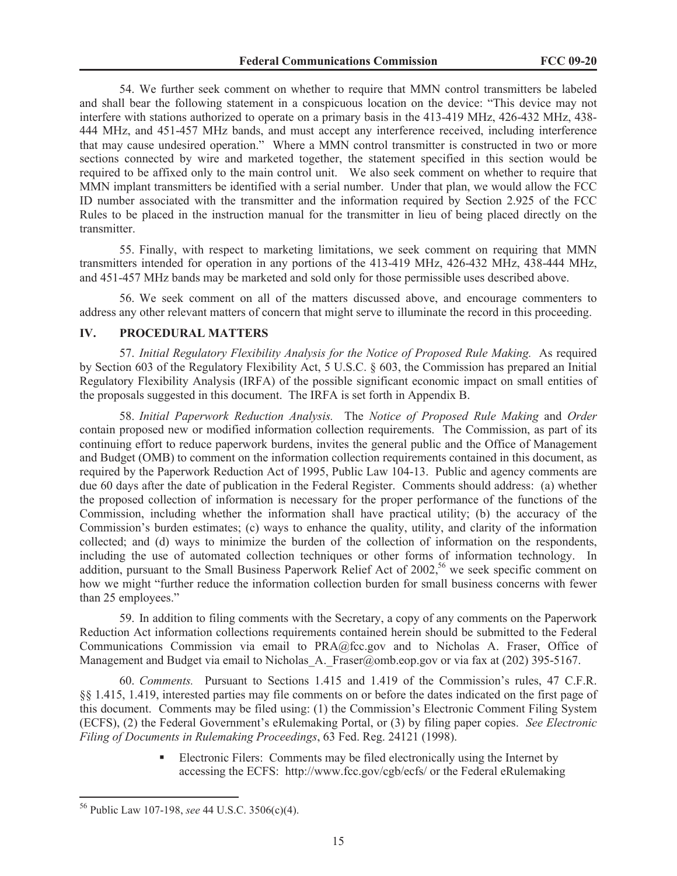54. We further seek comment on whether to require that MMN control transmitters be labeled and shall bear the following statement in a conspicuous location on the device: "This device may not interfere with stations authorized to operate on a primary basis in the 413-419 MHz, 426-432 MHz, 438- 444 MHz, and 451-457 MHz bands, and must accept any interference received, including interference that may cause undesired operation." Where a MMN control transmitter is constructed in two or more sections connected by wire and marketed together, the statement specified in this section would be required to be affixed only to the main control unit. We also seek comment on whether to require that MMN implant transmitters be identified with a serial number. Under that plan, we would allow the FCC ID number associated with the transmitter and the information required by Section 2.925 of the FCC Rules to be placed in the instruction manual for the transmitter in lieu of being placed directly on the transmitter.

55. Finally, with respect to marketing limitations, we seek comment on requiring that MMN transmitters intended for operation in any portions of the 413-419 MHz, 426-432 MHz, 438-444 MHz, and 451-457 MHz bands may be marketed and sold only for those permissible uses described above.

56. We seek comment on all of the matters discussed above, and encourage commenters to address any other relevant matters of concern that might serve to illuminate the record in this proceeding.

#### **IV. PROCEDURAL MATTERS**

57. *Initial Regulatory Flexibility Analysis for the Notice of Proposed Rule Making.* As required by Section 603 of the Regulatory Flexibility Act, 5 U.S.C. § 603, the Commission has prepared an Initial Regulatory Flexibility Analysis (IRFA) of the possible significant economic impact on small entities of the proposals suggested in this document. The IRFA is set forth in Appendix B.

58. *Initial Paperwork Reduction Analysis.* The *Notice of Proposed Rule Making* and *Order*  contain proposed new or modified information collection requirements. The Commission, as part of its continuing effort to reduce paperwork burdens, invites the general public and the Office of Management and Budget (OMB) to comment on the information collection requirements contained in this document, as required by the Paperwork Reduction Act of 1995, Public Law 104-13. Public and agency comments are due 60 days after the date of publication in the Federal Register. Comments should address: (a) whether the proposed collection of information is necessary for the proper performance of the functions of the Commission, including whether the information shall have practical utility; (b) the accuracy of the Commission's burden estimates; (c) ways to enhance the quality, utility, and clarity of the information collected; and (d) ways to minimize the burden of the collection of information on the respondents, including the use of automated collection techniques or other forms of information technology. In addition, pursuant to the Small Business Paperwork Relief Act of  $2002$ ,<sup>56</sup> we seek specific comment on how we might "further reduce the information collection burden for small business concerns with fewer than 25 employees."

59. In addition to filing comments with the Secretary, a copy of any comments on the Paperwork Reduction Act information collections requirements contained herein should be submitted to the Federal Communications Commission via email to PRA@fcc.gov and to Nicholas A. Fraser, Office of Management and Budget via email to Nicholas A. Fraser@omb.eop.gov or via fax at (202) 395-5167.

60. *Comments.* Pursuant to Sections 1.415 and 1.419 of the Commission's rules, 47 C.F.R. §§ 1.415, 1.419, interested parties may file comments on or before the dates indicated on the first page of this document. Comments may be filed using: (1) the Commission's Electronic Comment Filing System (ECFS), (2) the Federal Government's eRulemaking Portal, or (3) by filing paper copies. *See Electronic Filing of Documents in Rulemaking Proceedings*, 63 Fed. Reg. 24121 (1998).

> Electronic Filers: Comments may be filed electronically using the Internet by accessing the ECFS: http://www.fcc.gov/cgb/ecfs/ or the Federal eRulemaking

<sup>56</sup> Public Law 107-198, *see* 44 U.S.C. 3506(c)(4).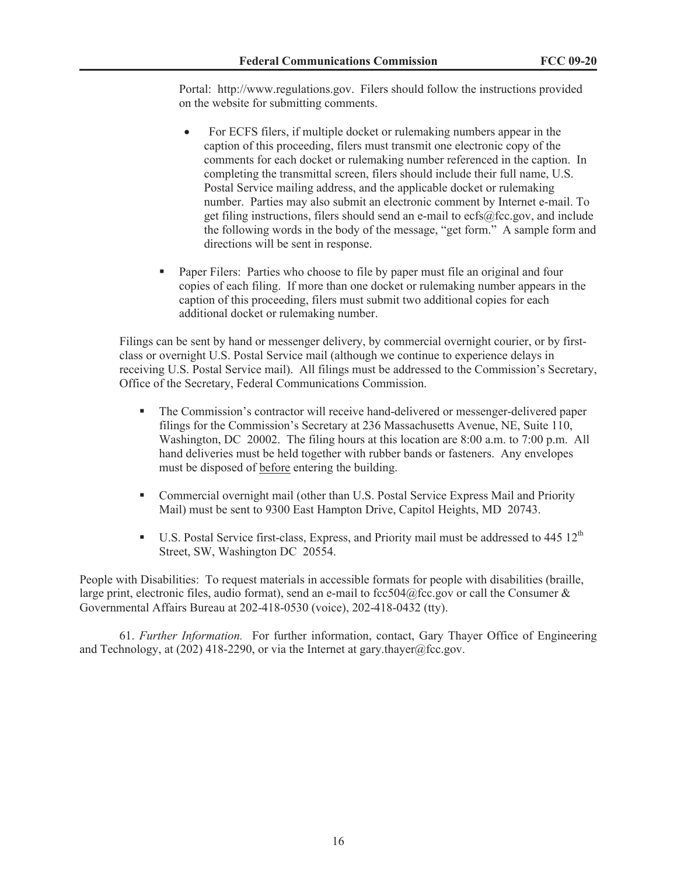Portal: http://www.regulations.gov. Filers should follow the instructions provided on the website for submitting comments.

- For ECFS filers, if multiple docket or rulemaking numbers appear in the caption of this proceeding, filers must transmit one electronic copy of the comments for each docket or rulemaking number referenced in the caption. In completing the transmittal screen, filers should include their full name, U.S. Postal Service mailing address, and the applicable docket or rulemaking number. Parties may also submit an electronic comment by Internet e-mail. To get filing instructions, filers should send an e-mail to ecfs@fcc.gov, and include the following words in the body of the message, "get form." A sample form and directions will be sent in response.
- Paper Filers: Parties who choose to file by paper must file an original and four copies of each filing. If more than one docket or rulemaking number appears in the caption of this proceeding, filers must submit two additional copies for each additional docket or rulemaking number.

Filings can be sent by hand or messenger delivery, by commercial overnight courier, or by firstclass or overnight U.S. Postal Service mail (although we continue to experience delays in receiving U.S. Postal Service mail). All filings must be addressed to the Commission's Secretary, Office of the Secretary, Federal Communications Commission.

- § The Commission's contractor will receive hand-delivered or messenger-delivered paper filings for the Commission's Secretary at 236 Massachusetts Avenue, NE, Suite 110, Washington, DC 20002. The filing hours at this location are 8:00 a.m. to 7:00 p.m. All hand deliveries must be held together with rubber bands or fasteners. Any envelopes must be disposed of before entering the building.
- Commercial overnight mail (other than U.S. Postal Service Express Mail and Priority Mail) must be sent to 9300 East Hampton Drive, Capitol Heights, MD 20743.
- **•** U.S. Postal Service first-class, Express, and Priority mail must be addressed to 445  $12<sup>th</sup>$ Street, SW, Washington DC 20554.

People with Disabilities: To request materials in accessible formats for people with disabilities (braille, large print, electronic files, audio format), send an e-mail to fcc504@fcc.gov or call the Consumer  $\&$ Governmental Affairs Bureau at 202-418-0530 (voice), 202-418-0432 (tty).

61. *Further Information.* For further information, contact, Gary Thayer Office of Engineering and Technology, at (202) 418-2290, or via the Internet at gary.thayer@fcc.gov.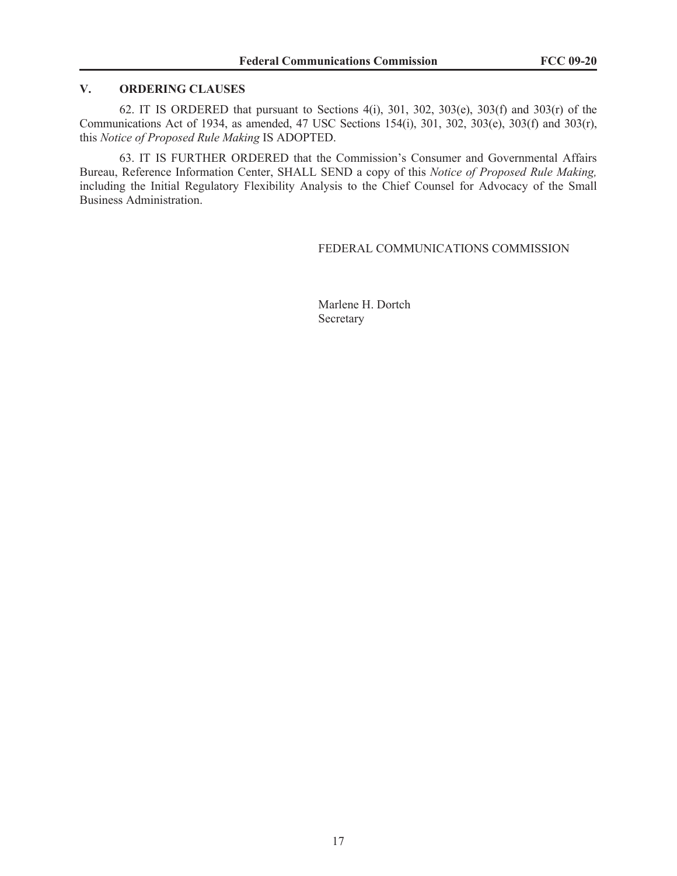## **V. ORDERING CLAUSES**

62. IT IS ORDERED that pursuant to Sections 4(i), 301, 302, 303(e), 303(f) and 303(r) of the Communications Act of 1934, as amended, 47 USC Sections 154(i), 301, 302, 303(e), 303(f) and 303(r), this *Notice of Proposed Rule Making* IS ADOPTED.

63. IT IS FURTHER ORDERED that the Commission's Consumer and Governmental Affairs Bureau, Reference Information Center, SHALL SEND a copy of this *Notice of Proposed Rule Making,*  including the Initial Regulatory Flexibility Analysis to the Chief Counsel for Advocacy of the Small Business Administration.

## FEDERAL COMMUNICATIONS COMMISSION

Marlene H. Dortch Secretary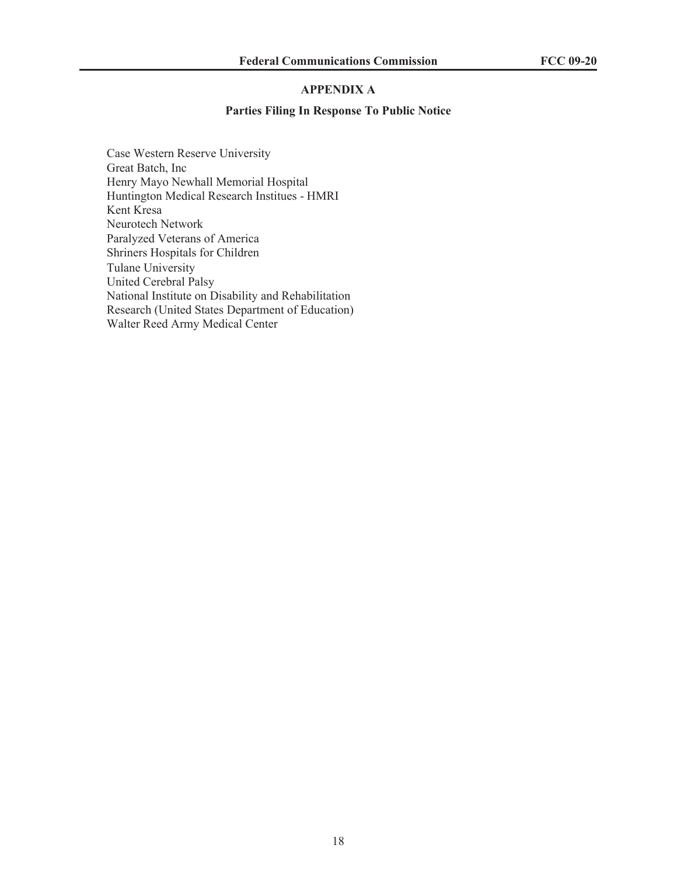## **APPENDIX A**

#### **Parties Filing In Response To Public Notice**

Case Western Reserve University Great Batch, Inc Henry Mayo Newhall Memorial Hospital Huntington Medical Research Institues - HMRI Kent Kresa Neurotech Network Paralyzed Veterans of America Shriners Hospitals for Children Tulane University United Cerebral Palsy National Institute on Disability and Rehabilitation Research (United States Department of Education) Walter Reed Army Medical Center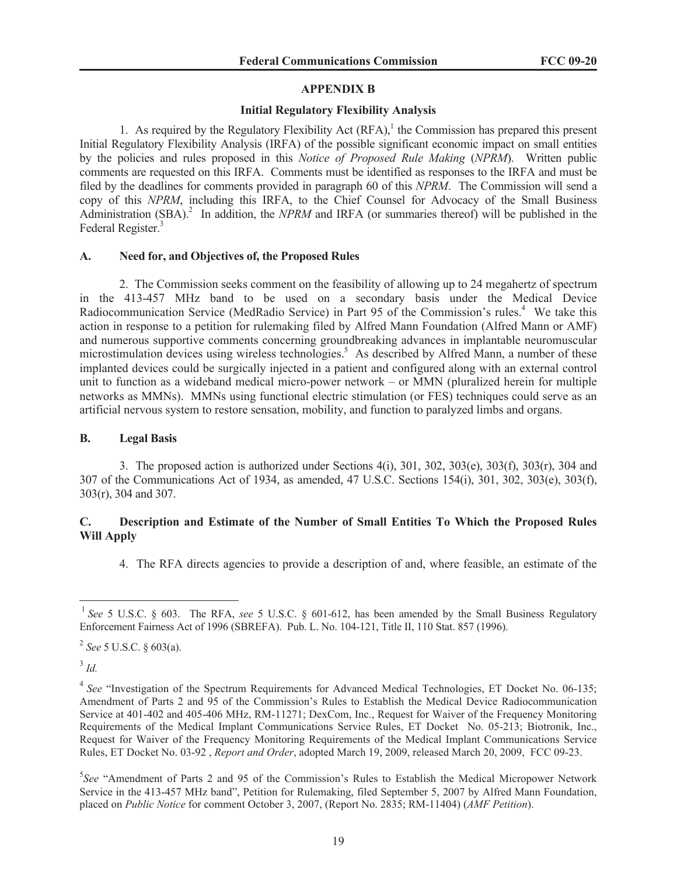# **APPENDIX B**

# **Initial Regulatory Flexibility Analysis**

1. As required by the Regulatory Flexibility Act  $(RFA)$ ,<sup>1</sup> the Commission has prepared this present Initial Regulatory Flexibility Analysis (IRFA) of the possible significant economic impact on small entities by the policies and rules proposed in this *Notice of Proposed Rule Making* (*NPRM*). Written public comments are requested on this IRFA. Comments must be identified as responses to the IRFA and must be filed by the deadlines for comments provided in paragraph 60 of this *NPRM*. The Commission will send a copy of this *NPRM*, including this IRFA, to the Chief Counsel for Advocacy of the Small Business Administration (SBA).<sup>2</sup> In addition, the *NPRM* and IRFA (or summaries thereof) will be published in the Federal Register.<sup>3</sup>

## **A. Need for, and Objectives of, the Proposed Rules**

2. The Commission seeks comment on the feasibility of allowing up to 24 megahertz of spectrum in the 413-457 MHz band to be used on a secondary basis under the Medical Device Radiocommunication Service (MedRadio Service) in Part 95 of the Commission's rules.<sup>4</sup> We take this action in response to a petition for rulemaking filed by Alfred Mann Foundation (Alfred Mann or AMF) and numerous supportive comments concerning groundbreaking advances in implantable neuromuscular microstimulation devices using wireless technologies.<sup>5</sup> As described by Alfred Mann, a number of these implanted devices could be surgically injected in a patient and configured along with an external control unit to function as a wideband medical micro-power network – or MMN (pluralized herein for multiple networks as MMNs). MMNs using functional electric stimulation (or FES) techniques could serve as an artificial nervous system to restore sensation, mobility, and function to paralyzed limbs and organs.

## **B. Legal Basis**

3. The proposed action is authorized under Sections 4(i), 301, 302, 303(e), 303(f), 303(r), 304 and 307 of the Communications Act of 1934, as amended, 47 U.S.C. Sections 154(i), 301, 302, 303(e), 303(f), 303(r), 304 and 307.

# **C. Description and Estimate of the Number of Small Entities To Which the Proposed Rules Will Apply**

4. The RFA directs agencies to provide a description of and, where feasible, an estimate of the

3 *Id.*

<sup>&</sup>lt;sup>1</sup> See 5 U.S.C. § 603. The RFA, see 5 U.S.C. § 601-612, has been amended by the Small Business Regulatory Enforcement Fairness Act of 1996 (SBREFA). Pub. L. No. 104-121, Title II, 110 Stat. 857 (1996).

<sup>2</sup> *See* 5 U.S.C. § 603(a).

<sup>&</sup>lt;sup>4</sup> See "Investigation of the Spectrum Requirements for Advanced Medical Technologies, ET Docket No. 06-135; Amendment of Parts 2 and 95 of the Commission's Rules to Establish the Medical Device Radiocommunication Service at 401-402 and 405-406 MHz, RM-11271; DexCom, Inc., Request for Waiver of the Frequency Monitoring Requirements of the Medical Implant Communications Service Rules, ET Docket No. 05-213; Biotronik, Inc., Request for Waiver of the Frequency Monitoring Requirements of the Medical Implant Communications Service Rules, ET Docket No. 03-92 , *Report and Order*, adopted March 19, 2009, released March 20, 2009, FCC 09-23.

<sup>&</sup>lt;sup>5</sup>See "Amendment of Parts 2 and 95 of the Commission's Rules to Establish the Medical Micropower Network Service in the 413-457 MHz band", Petition for Rulemaking, filed September 5, 2007 by Alfred Mann Foundation, placed on *Public Notice* for comment October 3, 2007, (Report No. 2835; RM-11404) (*AMF Petition*).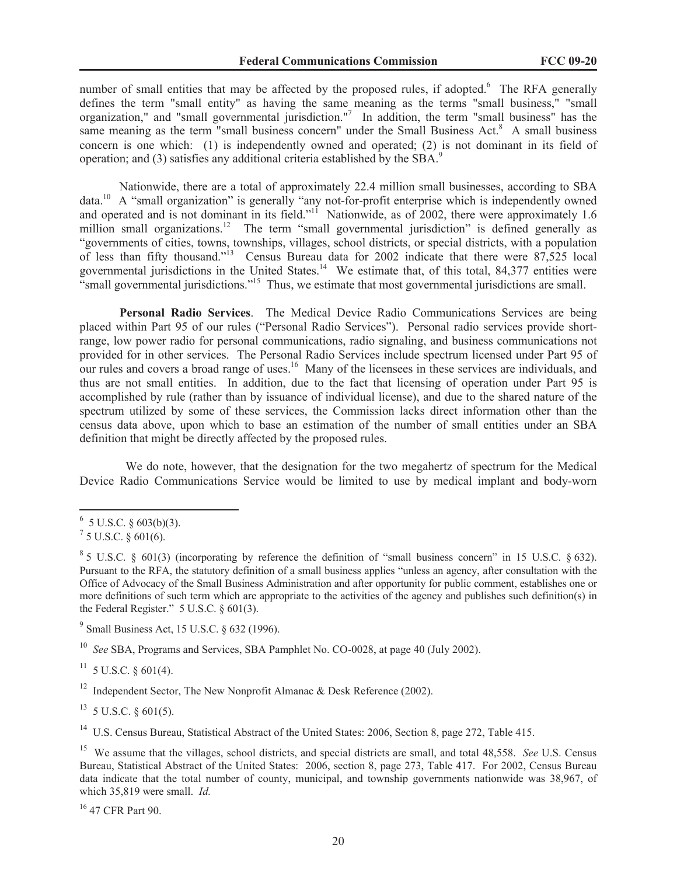number of small entities that may be affected by the proposed rules, if adopted.<sup>6</sup> The RFA generally defines the term "small entity" as having the same meaning as the terms "small business," "small organization," and "small governmental jurisdiction."<sup>7</sup> In addition, the term "small business" has the same meaning as the term "small business concern" under the Small Business Act. $8\text{ A small business}$ concern is one which: (1) is independently owned and operated; (2) is not dominant in its field of operation; and (3) satisfies any additional criteria established by the SBA.<sup>9</sup>

Nationwide, there are a total of approximately 22.4 million small businesses, according to SBA data.<sup>10</sup> A "small organization" is generally "any not-for-profit enterprise which is independently owned and operated and is not dominant in its field."<sup>11</sup> Nationwide, as of 2002, there were approximately 1.6 million small organizations.<sup>12</sup> The term "small governmental jurisdiction" is defined generally as "governments of cities, towns, townships, villages, school districts, or special districts, with a population of less than fifty thousand."<sup>13</sup> Census Bureau data for 2002 indicate that there were 87,525 local governmental jurisdictions in the United States.<sup>14</sup> We estimate that, of this total, 84,377 entities were "small governmental jurisdictions."<sup>15</sup> Thus, we estimate that most governmental jurisdictions are small.

**Personal Radio Services**. The Medical Device Radio Communications Services are being placed within Part 95 of our rules ("Personal Radio Services"). Personal radio services provide shortrange, low power radio for personal communications, radio signaling, and business communications not provided for in other services. The Personal Radio Services include spectrum licensed under Part 95 of our rules and covers a broad range of uses.<sup>16</sup> Many of the licensees in these services are individuals, and thus are not small entities. In addition, due to the fact that licensing of operation under Part 95 is accomplished by rule (rather than by issuance of individual license), and due to the shared nature of the spectrum utilized by some of these services, the Commission lacks direct information other than the census data above, upon which to base an estimation of the number of small entities under an SBA definition that might be directly affected by the proposed rules.

We do note, however, that the designation for the two megahertz of spectrum for the Medical Device Radio Communications Service would be limited to use by medical implant and body-worn

<sup>9</sup> Small Business Act, 15 U.S.C. § 632 (1996).

<sup>10</sup> *See* SBA, Programs and Services, SBA Pamphlet No. CO-0028, at page 40 (July 2002).

 $11 \,$  5 U.S.C. § 601(4).

<sup>12</sup> Independent Sector, The New Nonprofit Almanac & Desk Reference (2002).

 $13$  5 U.S.C. § 601(5).

<sup>14</sup> U.S. Census Bureau, Statistical Abstract of the United States: 2006, Section 8, page 272, Table 415.

<sup>16</sup> 47 CFR Part 90.

 $6\,$  5 U.S.C. § 603(b)(3).

 $^7$  5 U.S.C. § 601(6).

 $85$  U.S.C. § 601(3) (incorporating by reference the definition of "small business concern" in 15 U.S.C. § 632). Pursuant to the RFA, the statutory definition of a small business applies "unless an agency, after consultation with the Office of Advocacy of the Small Business Administration and after opportunity for public comment, establishes one or more definitions of such term which are appropriate to the activities of the agency and publishes such definition(s) in the Federal Register." 5 U.S.C. § 601(3).

<sup>15</sup> We assume that the villages, school districts, and special districts are small, and total 48,558. *See* U.S. Census Bureau, Statistical Abstract of the United States: 2006, section 8, page 273, Table 417. For 2002, Census Bureau data indicate that the total number of county, municipal, and township governments nationwide was 38,967, of which 35,819 were small. *Id.*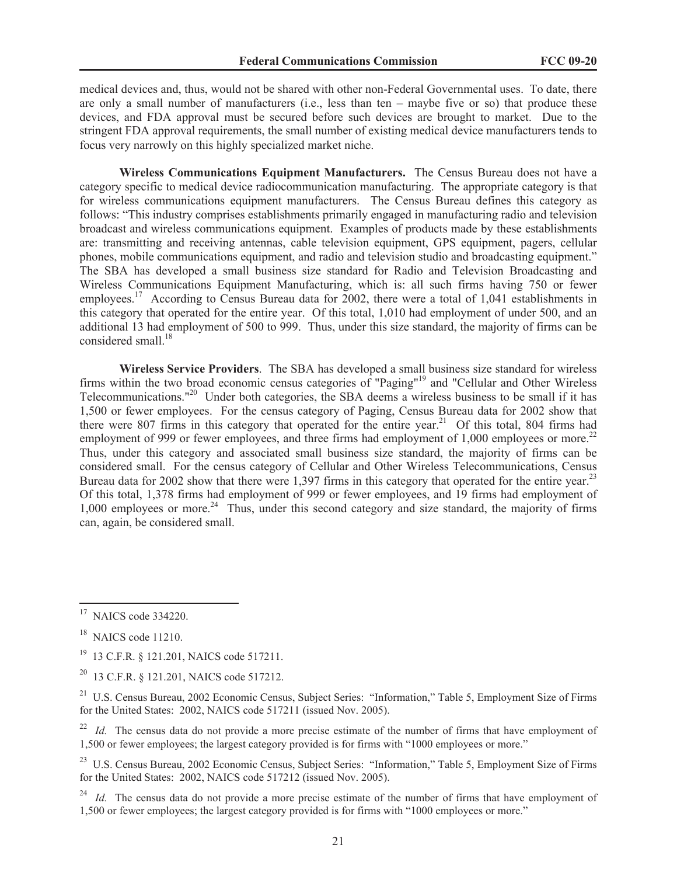medical devices and, thus, would not be shared with other non-Federal Governmental uses. To date, there are only a small number of manufacturers (i.e., less than ten – maybe five or so) that produce these devices, and FDA approval must be secured before such devices are brought to market. Due to the stringent FDA approval requirements, the small number of existing medical device manufacturers tends to focus very narrowly on this highly specialized market niche.

**Wireless Communications Equipment Manufacturers.** The Census Bureau does not have a category specific to medical device radiocommunication manufacturing. The appropriate category is that for wireless communications equipment manufacturers. The Census Bureau defines this category as follows: "This industry comprises establishments primarily engaged in manufacturing radio and television broadcast and wireless communications equipment. Examples of products made by these establishments are: transmitting and receiving antennas, cable television equipment, GPS equipment, pagers, cellular phones, mobile communications equipment, and radio and television studio and broadcasting equipment." The SBA has developed a small business size standard for Radio and Television Broadcasting and Wireless Communications Equipment Manufacturing, which is: all such firms having 750 or fewer employees.<sup>17</sup> According to Census Bureau data for 2002, there were a total of 1,041 establishments in this category that operated for the entire year. Of this total, 1,010 had employment of under 500, and an additional 13 had employment of 500 to 999. Thus, under this size standard, the majority of firms can be considered small.<sup>18</sup>

**Wireless Service Providers**. The SBA has developed a small business size standard for wireless firms within the two broad economic census categories of "Paging"<sup>19</sup> and "Cellular and Other Wireless Telecommunications."<sup>20</sup> Under both categories, the SBA deems a wireless business to be small if it has 1,500 or fewer employees. For the census category of Paging, Census Bureau data for 2002 show that there were 807 firms in this category that operated for the entire year.<sup>21</sup> Of this total, 804 firms had employment of 999 or fewer employees, and three firms had employment of 1,000 employees or more.<sup>22</sup> Thus, under this category and associated small business size standard, the majority of firms can be considered small. For the census category of Cellular and Other Wireless Telecommunications, Census Bureau data for 2002 show that there were 1,397 firms in this category that operated for the entire year.<sup>23</sup> Of this total, 1,378 firms had employment of 999 or fewer employees, and 19 firms had employment of 1,000 employees or more.<sup>24</sup> Thus, under this second category and size standard, the majority of firms can, again, be considered small.

<sup>&</sup>lt;sup>17</sup> NAICS code 334220.

 $18$  NAICS code 11210.

<sup>19</sup> 13 C.F.R. § 121.201, NAICS code 517211.

<sup>20</sup> 13 C.F.R. § 121.201, NAICS code 517212.

<sup>&</sup>lt;sup>21</sup> U.S. Census Bureau, 2002 Economic Census, Subject Series: "Information," Table 5, Employment Size of Firms for the United States: 2002, NAICS code 517211 (issued Nov. 2005).

<sup>&</sup>lt;sup>22</sup> *Id.* The census data do not provide a more precise estimate of the number of firms that have employment of 1,500 or fewer employees; the largest category provided is for firms with "1000 employees or more."

<sup>&</sup>lt;sup>23</sup> U.S. Census Bureau, 2002 Economic Census, Subject Series: "Information," Table 5, Employment Size of Firms for the United States: 2002, NAICS code 517212 (issued Nov. 2005).

<sup>&</sup>lt;sup>24</sup> *Id.* The census data do not provide a more precise estimate of the number of firms that have employment of 1,500 or fewer employees; the largest category provided is for firms with "1000 employees or more."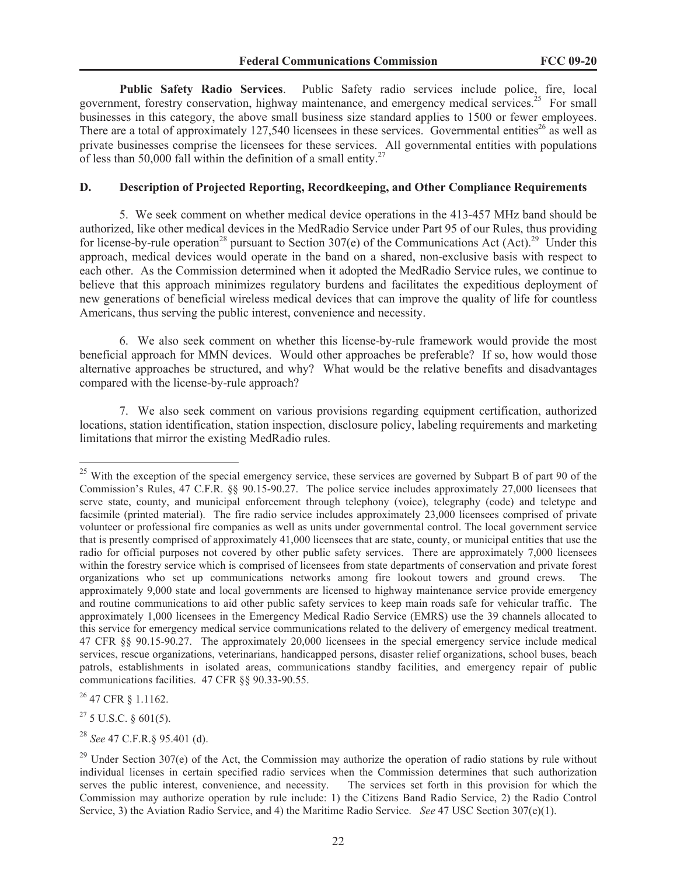**Public Safety Radio Services**. Public Safety radio services include police, fire, local government, forestry conservation, highway maintenance, and emergency medical services.<sup>25</sup> For small businesses in this category, the above small business size standard applies to 1500 or fewer employees. There are a total of approximately 127,540 licensees in these services. Governmental entities<sup>26</sup> as well as private businesses comprise the licensees for these services. All governmental entities with populations of less than 50,000 fall within the definition of a small entity.<sup>27</sup>

#### **D. Description of Projected Reporting, Recordkeeping, and Other Compliance Requirements**

5. We seek comment on whether medical device operations in the 413-457 MHz band should be authorized, like other medical devices in the MedRadio Service under Part 95 of our Rules, thus providing for license-by-rule operation<sup>28</sup> pursuant to Section 307(e) of the Communications Act (Act).<sup>29</sup> Under this approach, medical devices would operate in the band on a shared, non-exclusive basis with respect to each other. As the Commission determined when it adopted the MedRadio Service rules, we continue to believe that this approach minimizes regulatory burdens and facilitates the expeditious deployment of new generations of beneficial wireless medical devices that can improve the quality of life for countless Americans, thus serving the public interest, convenience and necessity.

6. We also seek comment on whether this license-by-rule framework would provide the most beneficial approach for MMN devices. Would other approaches be preferable? If so, how would those alternative approaches be structured, and why? What would be the relative benefits and disadvantages compared with the license-by-rule approach?

7. We also seek comment on various provisions regarding equipment certification, authorized locations, station identification, station inspection, disclosure policy, labeling requirements and marketing limitations that mirror the existing MedRadio rules.

<sup>26</sup> 47 CFR § 1.1162.

<sup>27</sup> 5 U.S.C. § 601(5).

<sup>28</sup> *See* 47 C.F.R.§ 95.401 (d).

<sup>&</sup>lt;sup>25</sup> With the exception of the special emergency service, these services are governed by Subpart B of part 90 of the Commission's Rules, 47 C.F.R. §§ 90.15-90.27. The police service includes approximately 27,000 licensees that serve state, county, and municipal enforcement through telephony (voice), telegraphy (code) and teletype and facsimile (printed material). The fire radio service includes approximately 23,000 licensees comprised of private volunteer or professional fire companies as well as units under governmental control. The local government service that is presently comprised of approximately 41,000 licensees that are state, county, or municipal entities that use the radio for official purposes not covered by other public safety services. There are approximately 7,000 licensees within the forestry service which is comprised of licensees from state departments of conservation and private forest organizations who set up communications networks among fire lookout towers and ground crews. The approximately 9,000 state and local governments are licensed to highway maintenance service provide emergency and routine communications to aid other public safety services to keep main roads safe for vehicular traffic. The approximately 1,000 licensees in the Emergency Medical Radio Service (EMRS) use the 39 channels allocated to this service for emergency medical service communications related to the delivery of emergency medical treatment. 47 CFR §§ 90.15-90.27. The approximately 20,000 licensees in the special emergency service include medical services, rescue organizations, veterinarians, handicapped persons, disaster relief organizations, school buses, beach patrols, establishments in isolated areas, communications standby facilities, and emergency repair of public communications facilities. 47 CFR §§ 90.33-90.55.

 $29$  Under Section 307(e) of the Act, the Commission may authorize the operation of radio stations by rule without individual licenses in certain specified radio services when the Commission determines that such authorization serves the public interest, convenience, and necessity. The services set forth in this provision for which the Commission may authorize operation by rule include: 1) the Citizens Band Radio Service, 2) the Radio Control Service, 3) the Aviation Radio Service, and 4) the Maritime Radio Service. *See* 47 USC Section 307(e)(1).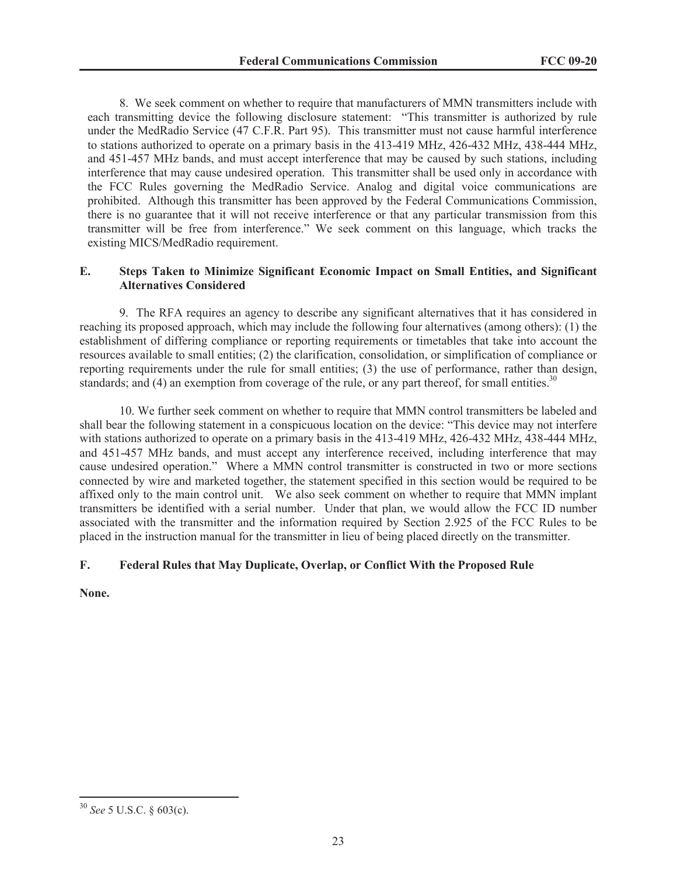8. We seek comment on whether to require that manufacturers of MMN transmitters include with each transmitting device the following disclosure statement: "This transmitter is authorized by rule under the MedRadio Service (47 C.F.R. Part 95). This transmitter must not cause harmful interference to stations authorized to operate on a primary basis in the 413-419 MHz, 426-432 MHz, 438-444 MHz, and 451-457 MHz bands, and must accept interference that may be caused by such stations, including interference that may cause undesired operation. This transmitter shall be used only in accordance with the FCC Rules governing the MedRadio Service. Analog and digital voice communications are prohibited. Although this transmitter has been approved by the Federal Communications Commission, there is no guarantee that it will not receive interference or that any particular transmission from this transmitter will be free from interference." We seek comment on this language, which tracks the existing MICS/MedRadio requirement.

## **E. Steps Taken to Minimize Significant Economic Impact on Small Entities, and Significant Alternatives Considered**

9. The RFA requires an agency to describe any significant alternatives that it has considered in reaching its proposed approach, which may include the following four alternatives (among others): (1) the establishment of differing compliance or reporting requirements or timetables that take into account the resources available to small entities; (2) the clarification, consolidation, or simplification of compliance or reporting requirements under the rule for small entities; (3) the use of performance, rather than design, standards; and  $(4)$  an exemption from coverage of the rule, or any part thereof, for small entities.<sup>30</sup>

10. We further seek comment on whether to require that MMN control transmitters be labeled and shall bear the following statement in a conspicuous location on the device: "This device may not interfere with stations authorized to operate on a primary basis in the 413-419 MHz, 426-432 MHz, 438-444 MHz, and 451-457 MHz bands, and must accept any interference received, including interference that may cause undesired operation." Where a MMN control transmitter is constructed in two or more sections connected by wire and marketed together, the statement specified in this section would be required to be affixed only to the main control unit. We also seek comment on whether to require that MMN implant transmitters be identified with a serial number. Under that plan, we would allow the FCC ID number associated with the transmitter and the information required by Section 2.925 of the FCC Rules to be placed in the instruction manual for the transmitter in lieu of being placed directly on the transmitter.

## **F. Federal Rules that May Duplicate, Overlap, or Conflict With the Proposed Rule**

**None.**

<sup>30</sup> *See* 5 U.S.C. § 603(c).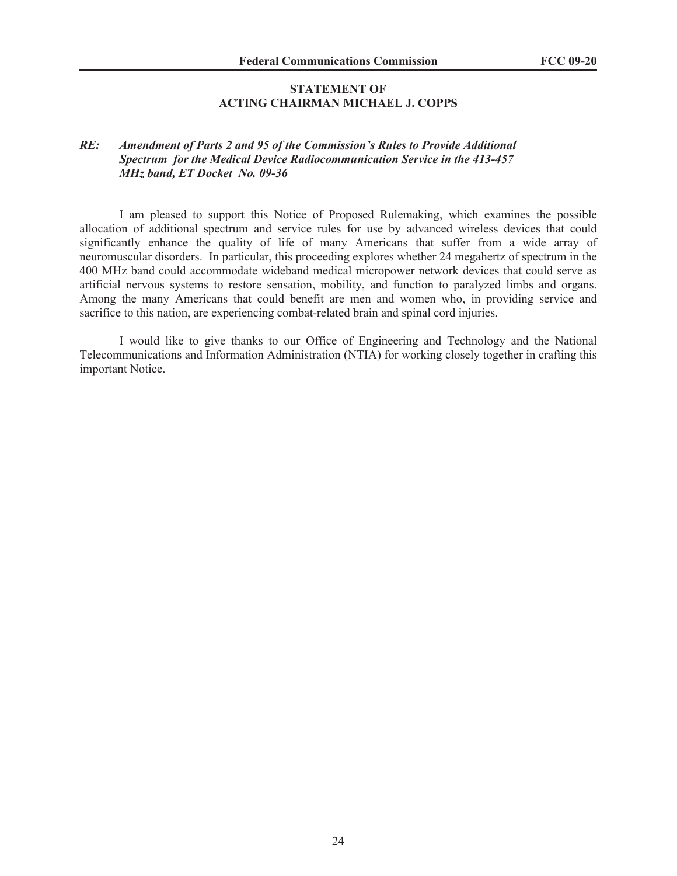## **STATEMENT OF ACTING CHAIRMAN MICHAEL J. COPPS**

# *RE: Amendment of Parts 2 and 95 of the Commission's Rules to Provide Additional Spectrum for the Medical Device Radiocommunication Service in the 413-457 MHz band, ET Docket No. 09-36*

I am pleased to support this Notice of Proposed Rulemaking, which examines the possible allocation of additional spectrum and service rules for use by advanced wireless devices that could significantly enhance the quality of life of many Americans that suffer from a wide array of neuromuscular disorders. In particular, this proceeding explores whether 24 megahertz of spectrum in the 400 MHz band could accommodate wideband medical micropower network devices that could serve as artificial nervous systems to restore sensation, mobility, and function to paralyzed limbs and organs. Among the many Americans that could benefit are men and women who, in providing service and sacrifice to this nation, are experiencing combat-related brain and spinal cord injuries.

I would like to give thanks to our Office of Engineering and Technology and the National Telecommunications and Information Administration (NTIA) for working closely together in crafting this important Notice.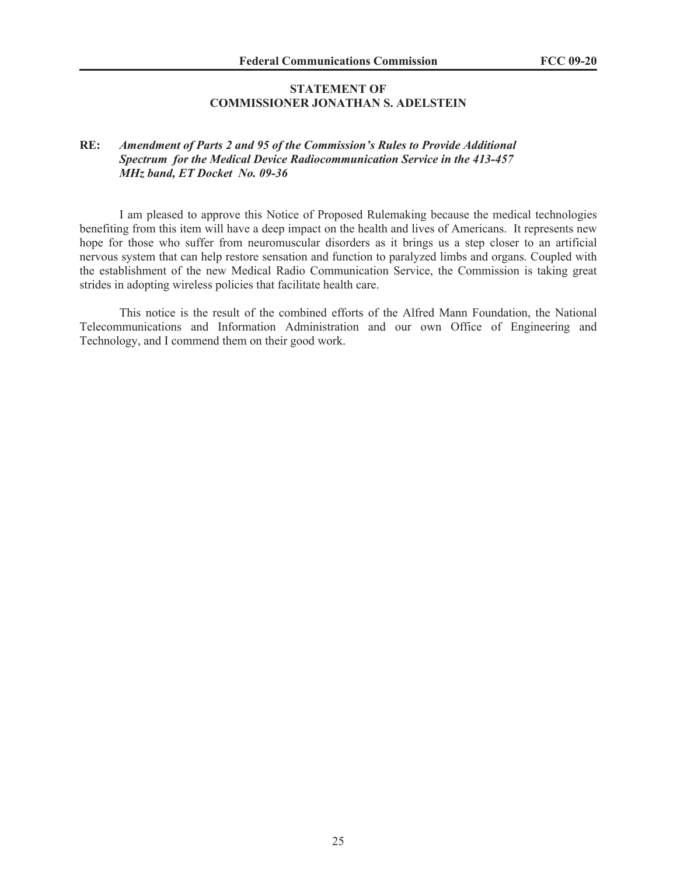## **STATEMENT OF COMMISSIONER JONATHAN S. ADELSTEIN**

# **RE:** *Amendment of Parts 2 and 95 of the Commission's Rules to Provide Additional Spectrum for the Medical Device Radiocommunication Service in the 413-457 MHz band, ET Docket No. 09-36*

I am pleased to approve this Notice of Proposed Rulemaking because the medical technologies benefiting from this item will have a deep impact on the health and lives of Americans. It represents new hope for those who suffer from neuromuscular disorders as it brings us a step closer to an artificial nervous system that can help restore sensation and function to paralyzed limbs and organs. Coupled with the establishment of the new Medical Radio Communication Service, the Commission is taking great strides in adopting wireless policies that facilitate health care.

This notice is the result of the combined efforts of the Alfred Mann Foundation, the National Telecommunications and Information Administration and our own Office of Engineering and Technology, and I commend them on their good work.